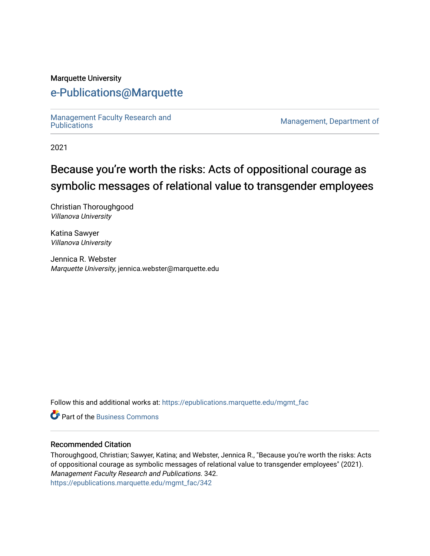#### Marquette University

# [e-Publications@Marquette](https://epublications.marquette.edu/)

Management Faculty Research and<br>Publications

Management, Department of

2021

# Because you're worth the risks: Acts of oppositional courage as symbolic messages of relational value to transgender employees

Christian Thoroughgood Villanova University

Katina Sawyer Villanova University

Jennica R. Webster Marquette University, jennica.webster@marquette.edu

Follow this and additional works at: [https://epublications.marquette.edu/mgmt\\_fac](https://epublications.marquette.edu/mgmt_fac?utm_source=epublications.marquette.edu%2Fmgmt_fac%2F342&utm_medium=PDF&utm_campaign=PDFCoverPages) 

**C** Part of the [Business Commons](http://network.bepress.com/hgg/discipline/622?utm_source=epublications.marquette.edu%2Fmgmt_fac%2F342&utm_medium=PDF&utm_campaign=PDFCoverPages)

#### Recommended Citation

Thoroughgood, Christian; Sawyer, Katina; and Webster, Jennica R., "Because you're worth the risks: Acts of oppositional courage as symbolic messages of relational value to transgender employees" (2021). Management Faculty Research and Publications. 342. [https://epublications.marquette.edu/mgmt\\_fac/342](https://epublications.marquette.edu/mgmt_fac/342?utm_source=epublications.marquette.edu%2Fmgmt_fac%2F342&utm_medium=PDF&utm_campaign=PDFCoverPages)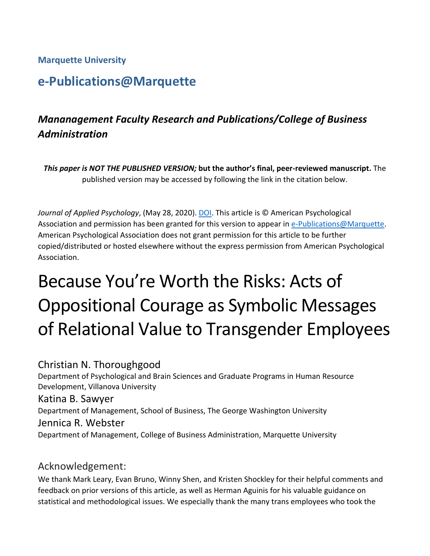# **Marquette University**

# **e-Publications@Marquette**

# *Mananagement Faculty Research and Publications/College of Business Administration*

*This paper is NOT THE PUBLISHED VERSION;* **but the author's final, peer-reviewed manuscript.** The published version may be accessed by following the link in the citation below.

*Journal of Applied Psychology*, (May 28, 2020). [DOI.](https://doi.org/10.1037/apl0000515) This article is © American Psychological Association and permission has been granted for this version to appear in [e-Publications@Marquette.](http://epublications.marquette.edu/) American Psychological Association does not grant permission for this article to be further copied/distributed or hosted elsewhere without the express permission from American Psychological Association.

# Because You're Worth the Risks: Acts of Oppositional Courage as Symbolic Messages of Relational Value to Transgender Employees

# Christian N. Thoroughgood

Department of Psychological and Brain Sciences and Graduate Programs in Human Resource Development, Villanova University Katina B. Sawyer Department of Management, School of Business, The George Washington University

# Jennica R. Webster

Department of Management, College of Business Administration, Marquette University

# Acknowledgement:

We thank Mark Leary, Evan Bruno, Winny Shen, and Kristen Shockley for their helpful comments and feedback on prior versions of this article, as well as Herman Aguinis for his valuable guidance on statistical and methodological issues. We especially thank the many trans employees who took the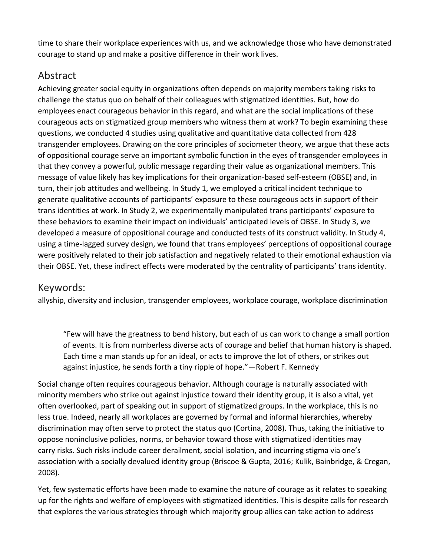time to share their workplace experiences with us, and we acknowledge those who have demonstrated courage to stand up and make a positive difference in their work lives.

# Abstract

Achieving greater social equity in organizations often depends on majority members taking risks to challenge the status quo on behalf of their colleagues with stigmatized identities. But, how do employees enact courageous behavior in this regard, and what are the social implications of these courageous acts on stigmatized group members who witness them at work? To begin examining these questions, we conducted 4 studies using qualitative and quantitative data collected from 428 transgender employees. Drawing on the core principles of sociometer theory, we argue that these acts of oppositional courage serve an important symbolic function in the eyes of transgender employees in that they convey a powerful, public message regarding their value as organizational members. This message of value likely has key implications for their organization-based self-esteem (OBSE) and, in turn, their job attitudes and wellbeing. In Study 1, we employed a critical incident technique to generate qualitative accounts of participants' exposure to these courageous acts in support of their trans identities at work. In Study 2, we experimentally manipulated trans participants' exposure to these behaviors to examine their impact on individuals' anticipated levels of OBSE. In Study 3, we developed a measure of oppositional courage and conducted tests of its construct validity. In Study 4, using a time-lagged survey design, we found that trans employees' perceptions of oppositional courage were positively related to their job satisfaction and negatively related to their emotional exhaustion via their OBSE. Yet, these indirect effects were moderated by the centrality of participants' trans identity.

# Keywords:

allyship, diversity and inclusion, transgender employees, workplace courage, workplace discrimination

"Few will have the greatness to bend history, but each of us can work to change a small portion of events. It is from numberless diverse acts of courage and belief that human history is shaped. Each time a man stands up for an ideal, or acts to improve the lot of others, or strikes out against injustice, he sends forth a tiny ripple of hope."—Robert F. Kennedy

Social change often requires courageous behavior. Although courage is naturally associated with minority members who strike out against injustice toward their identity group, it is also a vital, yet often overlooked, part of speaking out in support of stigmatized groups. In the workplace, this is no less true. Indeed, nearly all workplaces are governed by formal and informal hierarchies, whereby discrimination may often serve to protect the status quo (Cortina, 2008). Thus, taking the initiative to oppose noninclusive policies, norms, or behavior toward those with stigmatized identities may carry risks. Such risks include career derailment, social isolation, and incurring stigma via one's association with a socially devalued identity group (Briscoe & Gupta, 2016; Kulik, Bainbridge, & Cregan, 2008).

Yet, few systematic efforts have been made to examine the nature of courage as it relates to speaking up for the rights and welfare of employees with stigmatized identities. This is despite calls for research that explores the various strategies through which majority group allies can take action to address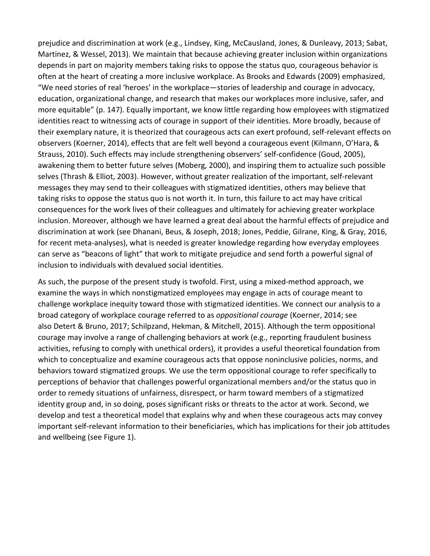prejudice and discrimination at work (e.g., Lindsey, King, McCausland, Jones, & Dunleavy, 2013; Sabat, Martinez, & Wessel, 2013). We maintain that because achieving greater inclusion within organizations depends in part on majority members taking risks to oppose the status quo, courageous behavior is often at the heart of creating a more inclusive workplace. As Brooks and Edwards (2009) emphasized, "We need stories of real 'heroes' in the workplace—stories of leadership and courage in advocacy, education, organizational change, and research that makes our workplaces more inclusive, safer, and more equitable" (p. 147). Equally important, we know little regarding how employees with stigmatized identities react to witnessing acts of courage in support of their identities. More broadly, because of their exemplary nature, it is theorized that courageous acts can exert profound, self-relevant effects on observers (Koerner, 2014), effects that are felt well beyond a courageous event (Kilmann, O'Hara, & Strauss, 2010). Such effects may include strengthening observers' self-confidence (Goud, 2005), awakening them to better future selves (Moberg, 2000), and inspiring them to actualize such possible selves (Thrash & Elliot, 2003). However, without greater realization of the important, self-relevant messages they may send to their colleagues with stigmatized identities, others may believe that taking risks to oppose the status quo is not worth it. In turn, this failure to act may have critical consequences for the work lives of their colleagues and ultimately for achieving greater workplace inclusion. Moreover, although we have learned a great deal about the harmful effects of prejudice and discrimination at work (see Dhanani, Beus, & Joseph, 2018; Jones, Peddie, Gilrane, King, & Gray, 2016, for recent meta-analyses), what is needed is greater knowledge regarding how everyday employees can serve as "beacons of light" that work to mitigate prejudice and send forth a powerful signal of inclusion to individuals with devalued social identities.

As such, the purpose of the present study is twofold. First, using a mixed-method approach, we examine the ways in which nonstigmatized employees may engage in acts of courage meant to challenge workplace inequity toward those with stigmatized identities. We connect our analysis to a broad category of workplace courage referred to as *oppositional courage* (Koerner, 2014; see also Detert & Bruno, 2017; Schilpzand, Hekman, & Mitchell, 2015). Although the term oppositional courage may involve a range of challenging behaviors at work (e.g., reporting fraudulent business activities, refusing to comply with unethical orders), it provides a useful theoretical foundation from which to conceptualize and examine courageous acts that oppose noninclusive policies, norms, and behaviors toward stigmatized groups. We use the term oppositional courage to refer specifically to perceptions of behavior that challenges powerful organizational members and/or the status quo in order to remedy situations of unfairness, disrespect, or harm toward members of a stigmatized identity group and, in so doing, poses significant risks or threats to the actor at work. Second, we develop and test a theoretical model that explains why and when these courageous acts may convey important self-relevant information to their beneficiaries, which has implications for their job attitudes and wellbeing (see Figure 1).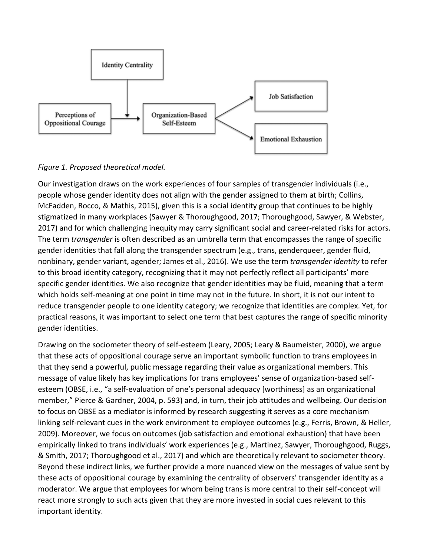

#### *Figure 1. Proposed theoretical model.*

Our investigation draws on the work experiences of four samples of transgender individuals (i.e., people whose gender identity does not align with the gender assigned to them at birth; Collins, McFadden, Rocco, & Mathis, 2015), given this is a social identity group that continues to be highly stigmatized in many workplaces (Sawyer & Thoroughgood, 2017; Thoroughgood, Sawyer, & Webster, 2017) and for which challenging inequity may carry significant social and career-related risks for actors. The term *transgender* is often described as an umbrella term that encompasses the range of specific gender identities that fall along the transgender spectrum (e.g., trans, genderqueer, gender fluid, nonbinary, gender variant, agender; James et al., 2016). We use the term *transgender identity* to refer to this broad identity category, recognizing that it may not perfectly reflect all participants' more specific gender identities. We also recognize that gender identities may be fluid, meaning that a term which holds self-meaning at one point in time may not in the future. In short, it is not our intent to reduce transgender people to one identity category; we recognize that identities are complex. Yet, for practical reasons, it was important to select one term that best captures the range of specific minority gender identities.

Drawing on the sociometer theory of self-esteem (Leary, 2005; Leary & Baumeister, 2000), we argue that these acts of oppositional courage serve an important symbolic function to trans employees in that they send a powerful, public message regarding their value as organizational members. This message of value likely has key implications for trans employees' sense of organization-based selfesteem (OBSE, i.e., "a self-evaluation of one's personal adequacy [worthiness] as an organizational member," Pierce & Gardner, 2004, p. 593) and, in turn, their job attitudes and wellbeing. Our decision to focus on OBSE as a mediator is informed by research suggesting it serves as a core mechanism linking self-relevant cues in the work environment to employee outcomes (e.g., Ferris, Brown, & Heller, 2009). Moreover, we focus on outcomes (job satisfaction and emotional exhaustion) that have been empirically linked to trans individuals' work experiences (e.g., Martinez, Sawyer, Thoroughgood, Ruggs, & Smith, 2017; Thoroughgood et al., 2017) and which are theoretically relevant to sociometer theory. Beyond these indirect links, we further provide a more nuanced view on the messages of value sent by these acts of oppositional courage by examining the centrality of observers' transgender identity as a moderator. We argue that employees for whom being trans is more central to their self-concept will react more strongly to such acts given that they are more invested in social cues relevant to this important identity.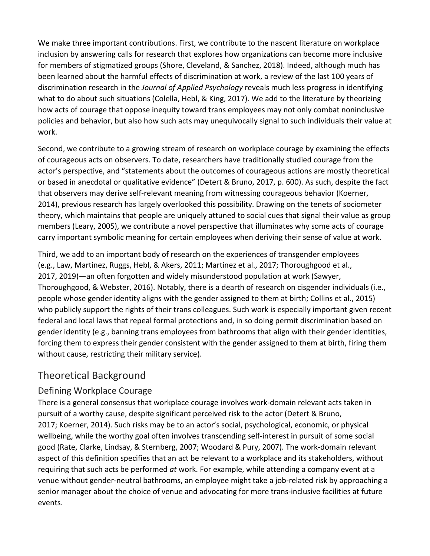We make three important contributions. First, we contribute to the nascent literature on workplace inclusion by answering calls for research that explores how organizations can become more inclusive for members of stigmatized groups (Shore, Cleveland, & Sanchez, 2018). Indeed, although much has been learned about the harmful effects of discrimination at work, a review of the last 100 years of discrimination research in the *Journal of Applied Psychology* reveals much less progress in identifying what to do about such situations (Colella, Hebl, & King, 2017). We add to the literature by theorizing how acts of courage that oppose inequity toward trans employees may not only combat noninclusive policies and behavior, but also how such acts may unequivocally signal to such individuals their value at work.

Second, we contribute to a growing stream of research on workplace courage by examining the effects of courageous acts on observers. To date, researchers have traditionally studied courage from the actor's perspective, and "statements about the outcomes of courageous actions are mostly theoretical or based in anecdotal or qualitative evidence" (Detert & Bruno, 2017, p. 600). As such, despite the fact that observers may derive self-relevant meaning from witnessing courageous behavior (Koerner, 2014), previous research has largely overlooked this possibility. Drawing on the tenets of sociometer theory, which maintains that people are uniquely attuned to social cues that signal their value as group members (Leary, 2005), we contribute a novel perspective that illuminates why some acts of courage carry important symbolic meaning for certain employees when deriving their sense of value at work.

Third, we add to an important body of research on the experiences of transgender employees (e.g., Law, Martinez, Ruggs, Hebl, & Akers, 2011; Martinez et al., 2017; Thoroughgood et al., 2017, 2019)—an often forgotten and widely misunderstood population at work (Sawyer, Thoroughgood, & Webster, 2016). Notably, there is a dearth of research on cisgender individuals (i.e., people whose gender identity aligns with the gender assigned to them at birth; Collins et al., 2015) who publicly support the rights of their trans colleagues. Such work is especially important given recent federal and local laws that repeal formal protections and, in so doing permit discrimination based on gender identity (e.g., banning trans employees from bathrooms that align with their gender identities, forcing them to express their gender consistent with the gender assigned to them at birth, firing them without cause, restricting their military service).

# Theoretical Background

# Defining Workplace Courage

There is a general consensus that workplace courage involves work-domain relevant acts taken in pursuit of a worthy cause, despite significant perceived risk to the actor (Detert & Bruno, 2017; Koerner, 2014). Such risks may be to an actor's social, psychological, economic, or physical wellbeing, while the worthy goal often involves transcending self-interest in pursuit of some social good (Rate, Clarke, Lindsay, & Sternberg, 2007; Woodard & Pury, 2007). The work-domain relevant aspect of this definition specifies that an act be relevant to a workplace and its stakeholders, without requiring that such acts be performed *at* work. For example, while attending a company event at a venue without gender-neutral bathrooms, an employee might take a job-related risk by approaching a senior manager about the choice of venue and advocating for more trans-inclusive facilities at future events.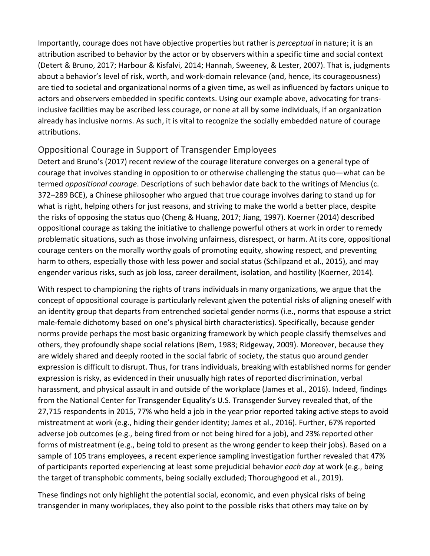Importantly, courage does not have objective properties but rather is *perceptual* in nature; it is an attribution ascribed to behavior by the actor or by observers within a specific time and social context (Detert & Bruno, 2017; Harbour & Kisfalvi, 2014; Hannah, Sweeney, & Lester, 2007). That is, judgments about a behavior's level of risk, worth, and work-domain relevance (and, hence, its courageousness) are tied to societal and organizational norms of a given time, as well as influenced by factors unique to actors and observers embedded in specific contexts. Using our example above, advocating for transinclusive facilities may be ascribed less courage, or none at all by some individuals, if an organization already has inclusive norms. As such, it is vital to recognize the socially embedded nature of courage attributions.

### Oppositional Courage in Support of Transgender Employees

Detert and Bruno's (2017) recent review of the courage literature converges on a general type of courage that involves standing in opposition to or otherwise challenging the status quo—what can be termed *oppositional courage*. Descriptions of such behavior date back to the writings of Mencius (c. 372–289 BCE), a Chinese philosopher who argued that true courage involves daring to stand up for what is right, helping others for just reasons, and striving to make the world a better place, despite the risks of opposing the status quo (Cheng & Huang, 2017; Jiang, 1997). Koerner (2014) described oppositional courage as taking the initiative to challenge powerful others at work in order to remedy problematic situations, such as those involving unfairness, disrespect, or harm. At its core, oppositional courage centers on the morally worthy goals of promoting equity, showing respect, and preventing harm to others, especially those with less power and social status (Schilpzand et al., 2015), and may engender various risks, such as job loss, career derailment, isolation, and hostility (Koerner, 2014).

With respect to championing the rights of trans individuals in many organizations, we argue that the concept of oppositional courage is particularly relevant given the potential risks of aligning oneself with an identity group that departs from entrenched societal gender norms (i.e., norms that espouse a strict male-female dichotomy based on one's physical birth characteristics). Specifically, because gender norms provide perhaps the most basic organizing framework by which people classify themselves and others, they profoundly shape social relations (Bem, 1983; Ridgeway, 2009). Moreover, because they are widely shared and deeply rooted in the social fabric of society, the status quo around gender expression is difficult to disrupt. Thus, for trans individuals, breaking with established norms for gender expression is risky, as evidenced in their unusually high rates of reported discrimination, verbal harassment, and physical assault in and outside of the workplace (James et al., 2016). Indeed, findings from the National Center for Transgender Equality's U.S. Transgender Survey revealed that, of the 27,715 respondents in 2015, 77% who held a job in the year prior reported taking active steps to avoid mistreatment at work (e.g., hiding their gender identity; James et al., 2016). Further, 67% reported adverse job outcomes (e.g., being fired from or not being hired for a job), and 23% reported other forms of mistreatment (e.g., being told to present as the wrong gender to keep their jobs). Based on a sample of 105 trans employees, a recent experience sampling investigation further revealed that 47% of participants reported experiencing at least some prejudicial behavior *each day* at work (e.g., being the target of transphobic comments, being socially excluded; Thoroughgood et al., 2019).

These findings not only highlight the potential social, economic, and even physical risks of being transgender in many workplaces, they also point to the possible risks that others may take on by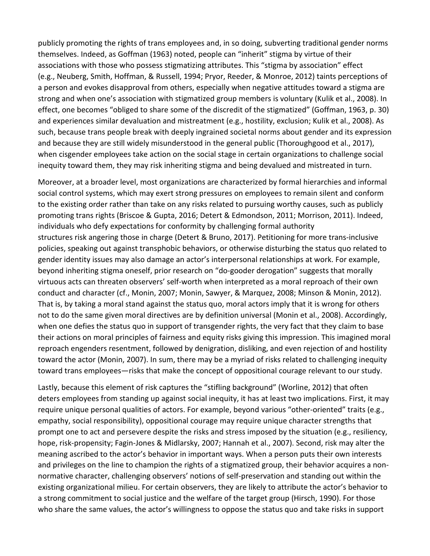publicly promoting the rights of trans employees and, in so doing, subverting traditional gender norms themselves. Indeed, as Goffman (1963) noted, people can "inherit" stigma by virtue of their associations with those who possess stigmatizing attributes. This "stigma by association" effect (e.g., Neuberg, Smith, Hoffman, & Russell, 1994; Pryor, Reeder, & Monroe, 2012) taints perceptions of a person and evokes disapproval from others, especially when negative attitudes toward a stigma are strong and when one's association with stigmatized group members is voluntary (Kulik et al., 2008). In effect, one becomes "obliged to share some of the discredit of the stigmatized" (Goffman, 1963, p. 30) and experiences similar devaluation and mistreatment (e.g., hostility, exclusion; Kulik et al., 2008). As such, because trans people break with deeply ingrained societal norms about gender and its expression and because they are still widely misunderstood in the general public (Thoroughgood et al., 2017), when cisgender employees take action on the social stage in certain organizations to challenge social inequity toward them, they may risk inheriting stigma and being devalued and mistreated in turn.

Moreover, at a broader level, most organizations are characterized by formal hierarchies and informal social control systems, which may exert strong pressures on employees to remain silent and conform to the existing order rather than take on any risks related to pursuing worthy causes, such as publicly promoting trans rights (Briscoe & Gupta, 2016; Detert & Edmondson, 2011; Morrison, 2011). Indeed, individuals who defy expectations for conformity by challenging formal authority structures risk angering those in charge (Detert & Bruno, 2017). Petitioning for more trans-inclusive policies, speaking out against transphobic behaviors, or otherwise disturbing the status quo related to gender identity issues may also damage an actor's interpersonal relationships at work. For example, beyond inheriting stigma oneself, prior research on "do-gooder derogation" suggests that morally virtuous acts can threaten observers' self-worth when interpreted as a moral reproach of their own conduct and character (cf., Monin, 2007; Monin, Sawyer, & Marquez, 2008; Minson & Monin, 2012). That is, by taking a moral stand against the status quo, moral actors imply that it is wrong for others not to do the same given moral directives are by definition universal (Monin et al., 2008). Accordingly, when one defies the status quo in support of transgender rights, the very fact that they claim to base their actions on moral principles of fairness and equity risks giving this impression. This imagined moral reproach engenders resentment, followed by denigration, disliking, and even rejection of and hostility toward the actor (Monin, 2007). In sum, there may be a myriad of risks related to challenging inequity toward trans employees—risks that make the concept of oppositional courage relevant to our study.

Lastly, because this element of risk captures the "stifling background" (Worline, 2012) that often deters employees from standing up against social inequity, it has at least two implications. First, it may require unique personal qualities of actors. For example, beyond various "other-oriented" traits (e.g., empathy, social responsibility), oppositional courage may require unique character strengths that prompt one to act and persevere despite the risks and stress imposed by the situation (e.g., resiliency, hope, risk-propensity; Fagin-Jones & Midlarsky, 2007; Hannah et al., 2007). Second, risk may alter the meaning ascribed to the actor's behavior in important ways. When a person puts their own interests and privileges on the line to champion the rights of a stigmatized group, their behavior acquires a nonnormative character, challenging observers' notions of self-preservation and standing out within the existing organizational milieu. For certain observers, they are likely to attribute the actor's behavior to a strong commitment to social justice and the welfare of the target group (Hirsch, 1990). For those who share the same values, the actor's willingness to oppose the status quo and take risks in support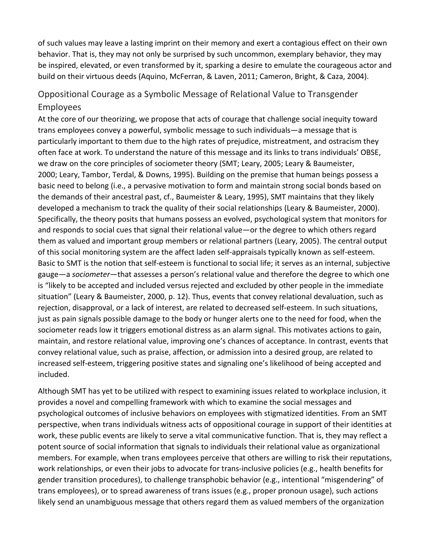of such values may leave a lasting imprint on their memory and exert a contagious effect on their own behavior. That is, they may not only be surprised by such uncommon, exemplary behavior, they may be inspired, elevated, or even transformed by it, sparking a desire to emulate the courageous actor and build on their virtuous deeds (Aquino, McFerran, & Laven, 2011; Cameron, Bright, & Caza, 2004).

# Oppositional Courage as a Symbolic Message of Relational Value to Transgender Employees

At the core of our theorizing, we propose that acts of courage that challenge social inequity toward trans employees convey a powerful, symbolic message to such individuals—a message that is particularly important to them due to the high rates of prejudice, mistreatment, and ostracism they often face at work. To understand the nature of this message and its links to trans individuals' OBSE, we draw on the core principles of sociometer theory (SMT; Leary, 2005; Leary & Baumeister, 2000; Leary, Tambor, Terdal, & Downs, 1995). Building on the premise that human beings possess a basic need to belong (i.e., a pervasive motivation to form and maintain strong social bonds based on the demands of their ancestral past, cf., Baumeister & Leary, 1995), SMT maintains that they likely developed a mechanism to track the quality of their social relationships (Leary & Baumeister, 2000). Specifically, the theory posits that humans possess an evolved, psychological system that monitors for and responds to social cues that signal their relational value—or the degree to which others regard them as valued and important group members or relational partners (Leary, 2005). The central output of this social monitoring system are the affect laden self-appraisals typically known as self-esteem. Basic to SMT is the notion that self-esteem is functional to social life; it serves as an internal, subjective gauge—a *sociometer*—that assesses a person's relational value and therefore the degree to which one is "likely to be accepted and included versus rejected and excluded by other people in the immediate situation" (Leary & Baumeister, 2000, p. 12). Thus, events that convey relational devaluation, such as rejection, disapproval, or a lack of interest, are related to decreased self-esteem. In such situations, just as pain signals possible damage to the body or hunger alerts one to the need for food, when the sociometer reads low it triggers emotional distress as an alarm signal. This motivates actions to gain, maintain, and restore relational value, improving one's chances of acceptance. In contrast, events that convey relational value, such as praise, affection, or admission into a desired group, are related to increased self-esteem, triggering positive states and signaling one's likelihood of being accepted and included.

Although SMT has yet to be utilized with respect to examining issues related to workplace inclusion, it provides a novel and compelling framework with which to examine the social messages and psychological outcomes of inclusive behaviors on employees with stigmatized identities. From an SMT perspective, when trans individuals witness acts of oppositional courage in support of their identities at work, these public events are likely to serve a vital communicative function. That is, they may reflect a potent source of social information that signals to individuals their relational value as organizational members. For example, when trans employees perceive that others are willing to risk their reputations, work relationships, or even their jobs to advocate for trans-inclusive policies (e.g., health benefits for gender transition procedures), to challenge transphobic behavior (e.g., intentional "misgendering" of trans employees), or to spread awareness of trans issues (e.g., proper pronoun usage), such actions likely send an unambiguous message that others regard them as valued members of the organization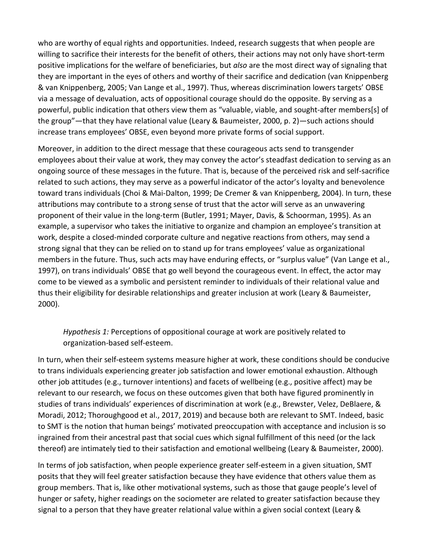who are worthy of equal rights and opportunities. Indeed, research suggests that when people are willing to sacrifice their interests for the benefit of others, their actions may not only have short-term positive implications for the welfare of beneficiaries, but *also* are the most direct way of signaling that they are important in the eyes of others and worthy of their sacrifice and dedication (van Knippenberg & van Knippenberg, 2005; Van Lange et al., 1997). Thus, whereas discrimination lowers targets' OBSE via a message of devaluation, acts of oppositional courage should do the opposite. By serving as a powerful, public indication that others view them as "valuable, viable, and sought-after members[s] of the group"—that they have relational value (Leary & Baumeister, 2000, p. 2)—such actions should increase trans employees' OBSE, even beyond more private forms of social support.

Moreover, in addition to the direct message that these courageous acts send to transgender employees about their value at work, they may convey the actor's steadfast dedication to serving as an ongoing source of these messages in the future. That is, because of the perceived risk and self-sacrifice related to such actions, they may serve as a powerful indicator of the actor's loyalty and benevolence toward trans individuals (Choi & Mai-Dalton, 1999; De Cremer & van Knippenberg, 2004). In turn, these attributions may contribute to a strong sense of trust that the actor will serve as an unwavering proponent of their value in the long-term (Butler, 1991; Mayer, Davis, & Schoorman, 1995). As an example, a supervisor who takes the initiative to organize and champion an employee's transition at work, despite a closed-minded corporate culture and negative reactions from others, may send a strong signal that they can be relied on to stand up for trans employees' value as organizational members in the future. Thus, such acts may have enduring effects, or "surplus value" (Van Lange et al., 1997), on trans individuals' OBSE that go well beyond the courageous event. In effect, the actor may come to be viewed as a symbolic and persistent reminder to individuals of their relational value and thus their eligibility for desirable relationships and greater inclusion at work (Leary & Baumeister, 2000).

*Hypothesis 1:* Perceptions of oppositional courage at work are positively related to organization-based self-esteem.

In turn, when their self-esteem systems measure higher at work, these conditions should be conducive to trans individuals experiencing greater job satisfaction and lower emotional exhaustion. Although other job attitudes (e.g., turnover intentions) and facets of wellbeing (e.g., positive affect) may be relevant to our research, we focus on these outcomes given that both have figured prominently in studies of trans individuals' experiences of discrimination at work (e.g., Brewster, Velez, DeBlaere, & Moradi, 2012; Thoroughgood et al., 2017, 2019) and because both are relevant to SMT. Indeed, basic to SMT is the notion that human beings' motivated preoccupation with acceptance and inclusion is so ingrained from their ancestral past that social cues which signal fulfillment of this need (or the lack thereof) are intimately tied to their satisfaction and emotional wellbeing (Leary & Baumeister, 2000).

In terms of job satisfaction, when people experience greater self-esteem in a given situation, SMT posits that they will feel greater satisfaction because they have evidence that others value them as group members. That is, like other motivational systems, such as those that gauge people's level of hunger or safety, higher readings on the sociometer are related to greater satisfaction because they signal to a person that they have greater relational value within a given social context (Leary &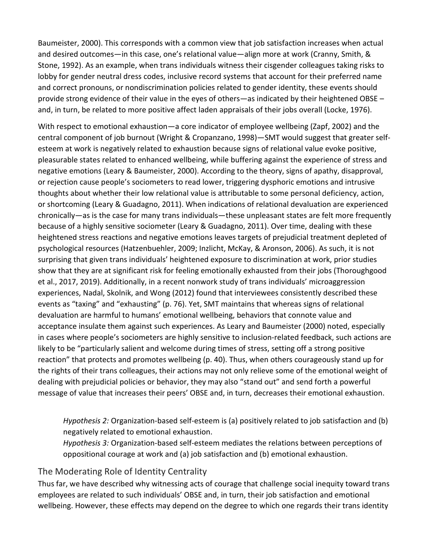Baumeister, 2000). This corresponds with a common view that job satisfaction increases when actual and desired outcomes—in this case, one's relational value—align more at work (Cranny, Smith, & Stone, 1992). As an example, when trans individuals witness their cisgender colleagues taking risks to lobby for gender neutral dress codes, inclusive record systems that account for their preferred name and correct pronouns, or nondiscrimination policies related to gender identity, these events should provide strong evidence of their value in the eyes of others—as indicated by their heightened OBSE – and, in turn, be related to more positive affect laden appraisals of their jobs overall (Locke, 1976).

With respect to emotional exhaustion—a core indicator of employee wellbeing (Zapf, 2002) and the central component of job burnout (Wright & Cropanzano, 1998)—SMT would suggest that greater selfesteem at work is negatively related to exhaustion because signs of relational value evoke positive, pleasurable states related to enhanced wellbeing, while buffering against the experience of stress and negative emotions (Leary & Baumeister, 2000). According to the theory, signs of apathy, disapproval, or rejection cause people's sociometers to read lower, triggering dysphoric emotions and intrusive thoughts about whether their low relational value is attributable to some personal deficiency, action, or shortcoming (Leary & Guadagno, 2011). When indications of relational devaluation are experienced chronically—as is the case for many trans individuals—these unpleasant states are felt more frequently because of a highly sensitive sociometer (Leary & Guadagno, 2011). Over time, dealing with these heightened stress reactions and negative emotions leaves targets of prejudicial treatment depleted of psychological resources (Hatzenbuehler, 2009; Inzlicht, McKay, & Aronson, 2006). As such, it is not surprising that given trans individuals' heightened exposure to discrimination at work, prior studies show that they are at significant risk for feeling emotionally exhausted from their jobs (Thoroughgood et al., 2017, 2019). Additionally, in a recent nonwork study of trans individuals' microaggression experiences, Nadal, Skolnik, and Wong (2012) found that interviewees consistently described these events as "taxing" and "exhausting" (p. 76). Yet, SMT maintains that whereas signs of relational devaluation are harmful to humans' emotional wellbeing, behaviors that connote value and acceptance insulate them against such experiences. As Leary and Baumeister (2000) noted, especially in cases where people's sociometers are highly sensitive to inclusion-related feedback, such actions are likely to be "particularly salient and welcome during times of stress, setting off a strong positive reaction" that protects and promotes wellbeing (p. 40). Thus, when others courageously stand up for the rights of their trans colleagues, their actions may not only relieve some of the emotional weight of dealing with prejudicial policies or behavior, they may also "stand out" and send forth a powerful message of value that increases their peers' OBSE and, in turn, decreases their emotional exhaustion.

*Hypothesis 2:* Organization-based self-esteem is (a) positively related to job satisfaction and (b) negatively related to emotional exhaustion.

*Hypothesis 3:* Organization-based self-esteem mediates the relations between perceptions of oppositional courage at work and (a) job satisfaction and (b) emotional exhaustion.

### The Moderating Role of Identity Centrality

Thus far, we have described why witnessing acts of courage that challenge social inequity toward trans employees are related to such individuals' OBSE and, in turn, their job satisfaction and emotional wellbeing. However, these effects may depend on the degree to which one regards their trans identity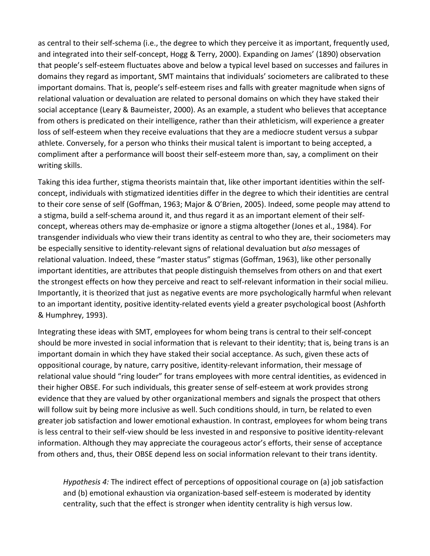as central to their self-schema (i.e., the degree to which they perceive it as important, frequently used, and integrated into their self-concept, Hogg & Terry, 2000). Expanding on James' (1890) observation that people's self-esteem fluctuates above and below a typical level based on successes and failures in domains they regard as important, SMT maintains that individuals' sociometers are calibrated to these important domains. That is, people's self-esteem rises and falls with greater magnitude when signs of relational valuation or devaluation are related to personal domains on which they have staked their social acceptance (Leary & Baumeister, 2000). As an example, a student who believes that acceptance from others is predicated on their intelligence, rather than their athleticism, will experience a greater loss of self-esteem when they receive evaluations that they are a mediocre student versus a subpar athlete. Conversely, for a person who thinks their musical talent is important to being accepted, a compliment after a performance will boost their self-esteem more than, say, a compliment on their writing skills.

Taking this idea further, stigma theorists maintain that, like other important identities within the selfconcept, individuals with stigmatized identities differ in the degree to which their identities are central to their core sense of self (Goffman, 1963; Major & O'Brien, 2005). Indeed, some people may attend to a stigma, build a self-schema around it, and thus regard it as an important element of their selfconcept, whereas others may de-emphasize or ignore a stigma altogether (Jones et al., 1984). For transgender individuals who view their trans identity as central to who they are, their sociometers may be especially sensitive to identity-relevant signs of relational devaluation but *also* messages of relational valuation. Indeed, these "master status" stigmas (Goffman, 1963), like other personally important identities, are attributes that people distinguish themselves from others on and that exert the strongest effects on how they perceive and react to self-relevant information in their social milieu. Importantly, it is theorized that just as negative events are more psychologically harmful when relevant to an important identity, positive identity-related events yield a greater psychological boost (Ashforth & Humphrey, 1993).

Integrating these ideas with SMT, employees for whom being trans is central to their self-concept should be more invested in social information that is relevant to their identity; that is, being trans is an important domain in which they have staked their social acceptance. As such, given these acts of oppositional courage, by nature, carry positive, identity-relevant information, their message of relational value should "ring louder" for trans employees with more central identities, as evidenced in their higher OBSE. For such individuals, this greater sense of self-esteem at work provides strong evidence that they are valued by other organizational members and signals the prospect that others will follow suit by being more inclusive as well. Such conditions should, in turn, be related to even greater job satisfaction and lower emotional exhaustion. In contrast, employees for whom being trans is less central to their self-view should be less invested in and responsive to positive identity-relevant information. Although they may appreciate the courageous actor's efforts, their sense of acceptance from others and, thus, their OBSE depend less on social information relevant to their trans identity.

*Hypothesis 4:* The indirect effect of perceptions of oppositional courage on (a) job satisfaction and (b) emotional exhaustion via organization-based self-esteem is moderated by identity centrality, such that the effect is stronger when identity centrality is high versus low.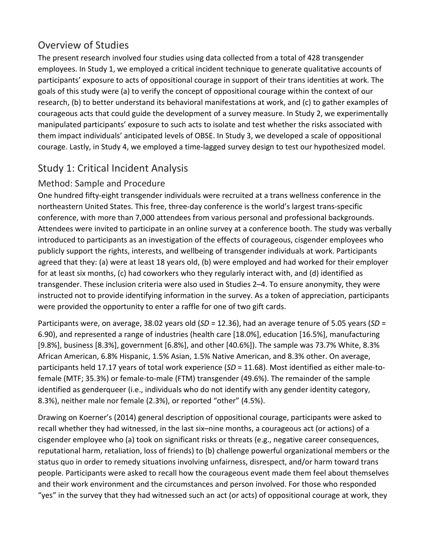# Overview of Studies

The present research involved four studies using data collected from a total of 428 transgender employees. In Study 1, we employed a critical incident technique to generate qualitative accounts of participants' exposure to acts of oppositional courage in support of their trans identities at work. The goals of this study were (a) to verify the concept of oppositional courage within the context of our research, (b) to better understand its behavioral manifestations at work, and (c) to gather examples of courageous acts that could guide the development of a survey measure. In Study 2, we experimentally manipulated participants' exposure to such acts to isolate and test whether the risks associated with them impact individuals' anticipated levels of OBSE. In Study 3, we developed a scale of oppositional courage. Lastly, in Study 4, we employed a time-lagged survey design to test our hypothesized model.

# Study 1: Critical Incident Analysis

# Method: Sample and Procedure

One hundred fifty-eight transgender individuals were recruited at a trans wellness conference in the northeastern United States. This free, three-day conference is the world's largest trans-specific conference, with more than 7,000 attendees from various personal and professional backgrounds. Attendees were invited to participate in an online survey at a conference booth. The study was verbally introduced to participants as an investigation of the effects of courageous, cisgender employees who publicly support the rights, interests, and wellbeing of transgender individuals at work. Participants agreed that they: (a) were at least 18 years old, (b) were employed and had worked for their employer for at least six months, (c) had coworkers who they regularly interact with, and (d) identified as transgender. These inclusion criteria were also used in Studies 2–4. To ensure anonymity, they were instructed not to provide identifying information in the survey. As a token of appreciation, participants were provided the opportunity to enter a raffle for one of two gift cards.

Participants were, on average, 38.02 years old (*SD* = 12.36), had an average tenure of 5.05 years (*SD* = 6.90), and represented a range of industries (health care [18.0%], education [16.5%], manufacturing [9.8%], business [8.3%], government [6.8%], and other [40.6%]). The sample was 73.7% White, 8.3% African American, 6.8% Hispanic, 1.5% Asian, 1.5% Native American, and 8.3% other. On average, participants held 17.17 years of total work experience (*SD* = 11.68). Most identified as either male-tofemale (MTF; 35.3%) or female-to-male (FTM) transgender (49.6%). The remainder of the sample identified as genderqueer (i.e., individuals who do not identify with any gender identity category, 8.3%), neither male nor female (2.3%), or reported "other" (4.5%).

Drawing on Koerner's (2014) general description of oppositional courage, participants were asked to recall whether they had witnessed, in the last six–nine months, a courageous act (or actions) of a cisgender employee who (a) took on significant risks or threats (e.g., negative career consequences, reputational harm, retaliation, loss of friends) to (b) challenge powerful organizational members or the status quo in order to remedy situations involving unfairness, disrespect, and/or harm toward trans people. Participants were asked to recall how the courageous event made them feel about themselves and their work environment and the circumstances and person involved. For those who responded "yes" in the survey that they had witnessed such an act (or acts) of oppositional courage at work, they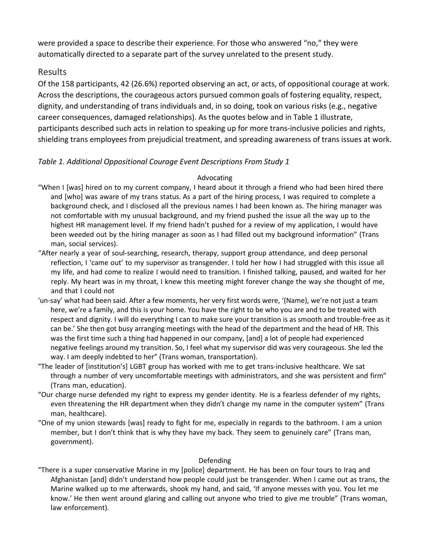were provided a space to describe their experience. For those who answered "no," they were automatically directed to a separate part of the survey unrelated to the present study.

### Results

Of the 158 participants, 42 (26.6%) reported observing an act, or acts, of oppositional courage at work. Across the descriptions, the courageous actors pursued common goals of fostering equality, respect, dignity, and understanding of trans individuals and, in so doing, took on various risks (e.g., negative career consequences, damaged relationships). As the quotes below and in Table 1 illustrate, participants described such acts in relation to speaking up for more trans-inclusive policies and rights, shielding trans employees from prejudicial treatment, and spreading awareness of trans issues at work.

#### *Table 1. Additional Oppositional Courage Event Descriptions From Study 1*

#### Advocating

- "When I [was] hired on to my current company, I heard about it through a friend who had been hired there and [who] was aware of my trans status. As a part of the hiring process, I was required to complete a background check, and I disclosed all the previous names I had been known as. The hiring manager was not comfortable with my unusual background, and my friend pushed the issue all the way up to the highest HR management level. If my friend hadn't pushed for a review of my application, I would have been weeded out by the hiring manager as soon as I had filled out my background information" (Trans man, social services).
- "After nearly a year of soul-searching, research, therapy, support group attendance, and deep personal reflection, I 'came out' to my supervisor as transgender. I told her how I had struggled with this issue all my life, and had come to realize I would need to transition. I finished talking, paused, and waited for her reply. My heart was in my throat, I knew this meeting might forever change the way she thought of me, and that I could not
- 'un-say' what had been said. After a few moments, her very first words were, '(Name), we're not just a team here, we're a family, and this is your home. You have the right to be who you are and to be treated with respect and dignity. I will do everything I can to make sure your transition is as smooth and trouble-free as it can be.' She then got busy arranging meetings with the head of the department and the head of HR. This was the first time such a thing had happened in our company, [and] a lot of people had experienced negative feelings around my transition. So, I feel what my supervisor did was very courageous. She led the way. I am deeply indebted to her" (Trans woman, transportation).
- "The leader of [institution's] LGBT group has worked with me to get trans-inclusive healthcare. We sat through a number of very uncomfortable meetings with administrators, and she was persistent and firm" (Trans man, education).
- "Our charge nurse defended my right to express my gender identity. He is a fearless defender of my rights, even threatening the HR department when they didn't change my name in the computer system" (Trans man, healthcare).
- "One of my union stewards [was] ready to fight for me, especially in regards to the bathroom. I am a union member, but I don't think that is why they have my back. They seem to genuinely care" (Trans man, government).

#### Defending

"There is a super conservative Marine in my [police] department. He has been on four tours to Iraq and Afghanistan [and] didn't understand how people could just be transgender. When I came out as trans, the Marine walked up to me afterwards, shook my hand, and said, 'If anyone messes with you. You let me know.' He then went around glaring and calling out anyone who tried to give me trouble" (Trans woman, law enforcement).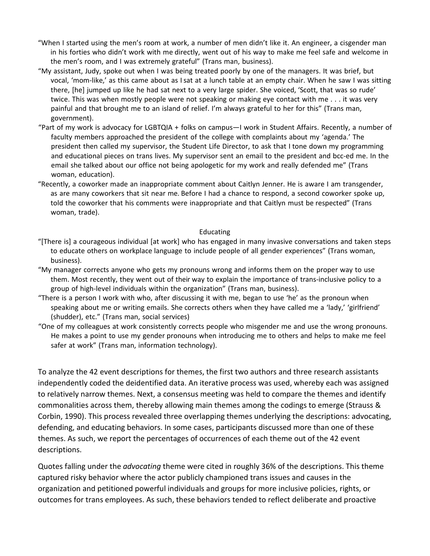- "When I started using the men's room at work, a number of men didn't like it. An engineer, a cisgender man in his forties who didn't work with me directly, went out of his way to make me feel safe and welcome in the men's room, and I was extremely grateful" (Trans man, business).
- "My assistant, Judy, spoke out when I was being treated poorly by one of the managers. It was brief, but vocal, 'mom-like,' as this came about as Isat at a lunch table at an empty chair. When he saw I was sitting there, [he] jumped up like he had sat next to a very large spider. She voiced, 'Scott, that was so rude' twice. This was when mostly people were not speaking or making eye contact with me . . . it was very painful and that brought me to an island of relief. I'm always grateful to her for this" (Trans man, government).
- "Part of my work is advocacy for LGBTQIA + folks on campus—I work in Student Affairs. Recently, a number of faculty members approached the president of the college with complaints about my 'agenda.' The president then called my supervisor, the Student Life Director, to ask that I tone down my programming and educational pieces on trans lives. My supervisor sent an email to the president and bcc-ed me. In the email she talked about our office not being apologetic for my work and really defended me" (Trans woman, education).
- "Recently, a coworker made an inappropriate comment about Caitlyn Jenner. He is aware I am transgender, as are many coworkers that sit near me. Before I had a chance to respond, a second coworker spoke up, told the coworker that his comments were inappropriate and that Caitlyn must be respected" (Trans woman, trade).

#### Educating

- "[There is] a courageous individual [at work] who has engaged in many invasive conversations and taken steps to educate others on workplace language to include people of all gender experiences" (Trans woman, business).
- "My manager corrects anyone who gets my pronouns wrong and informs them on the proper way to use them. Most recently, they went out of their way to explain the importance of trans-inclusive policy to a group of high-level individuals within the organization" (Trans man, business).
- "There is a person I work with who, after discussing it with me, began to use 'he' as the pronoun when speaking about me or writing emails. She corrects others when they have called me a 'lady,' 'girlfriend' (shudder), etc." (Trans man, social services)
- "One of my colleagues at work consistently corrects people who misgender me and use the wrong pronouns. He makes a point to use my gender pronouns when introducing me to others and helps to make me feel safer at work" (Trans man, information technology).

To analyze the 42 event descriptions for themes, the first two authors and three research assistants independently coded the deidentified data. An iterative process was used, whereby each was assigned to relatively narrow themes. Next, a consensus meeting was held to compare the themes and identify commonalities across them, thereby allowing main themes among the codings to emerge (Strauss & Corbin, 1990). This process revealed three overlapping themes underlying the descriptions: advocating, defending, and educating behaviors. In some cases, participants discussed more than one of these themes. As such, we report the percentages of occurrences of each theme out of the 42 event descriptions.

Quotes falling under the *advocating* theme were cited in roughly 36% of the descriptions. This theme captured risky behavior where the actor publicly championed trans issues and causes in the organization and petitioned powerful individuals and groups for more inclusive policies, rights, or outcomes for trans employees. As such, these behaviors tended to reflect deliberate and proactive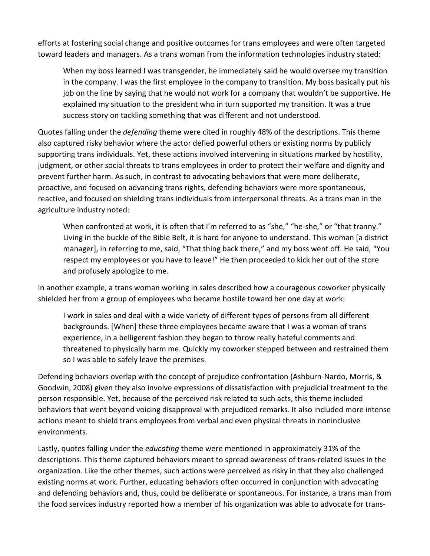efforts at fostering social change and positive outcomes for trans employees and were often targeted toward leaders and managers. As a trans woman from the information technologies industry stated:

When my boss learned I was transgender, he immediately said he would oversee my transition in the company. I was the first employee in the company to transition. My boss basically put his job on the line by saying that he would not work for a company that wouldn't be supportive. He explained my situation to the president who in turn supported my transition. It was a true success story on tackling something that was different and not understood.

Quotes falling under the *defending* theme were cited in roughly 48% of the descriptions. This theme also captured risky behavior where the actor defied powerful others or existing norms by publicly supporting trans individuals. Yet, these actions involved intervening in situations marked by hostility, judgment, or other social threats to trans employees in order to protect their welfare and dignity and prevent further harm. As such, in contrast to advocating behaviors that were more deliberate, proactive, and focused on advancing trans rights, defending behaviors were more spontaneous, reactive, and focused on shielding trans individuals from interpersonal threats. As a trans man in the agriculture industry noted:

When confronted at work, it is often that I'm referred to as "she," "he-she," or "that tranny." Living in the buckle of the Bible Belt, it is hard for anyone to understand. This woman [a district manager], in referring to me, said, "That thing back there," and my boss went off. He said, "You respect my employees or you have to leave!" He then proceeded to kick her out of the store and profusely apologize to me.

In another example, a trans woman working in sales described how a courageous coworker physically shielded her from a group of employees who became hostile toward her one day at work:

I work in sales and deal with a wide variety of different types of persons from all different backgrounds. [When] these three employees became aware that I was a woman of trans experience, in a belligerent fashion they began to throw really hateful comments and threatened to physically harm me. Quickly my coworker stepped between and restrained them so I was able to safely leave the premises.

Defending behaviors overlap with the concept of prejudice confrontation (Ashburn-Nardo, Morris, & Goodwin, 2008) given they also involve expressions of dissatisfaction with prejudicial treatment to the person responsible. Yet, because of the perceived risk related to such acts, this theme included behaviors that went beyond voicing disapproval with prejudiced remarks. It also included more intense actions meant to shield trans employees from verbal and even physical threats in noninclusive environments.

Lastly, quotes falling under the *educating* theme were mentioned in approximately 31% of the descriptions. This theme captured behaviors meant to spread awareness of trans-related issues in the organization. Like the other themes, such actions were perceived as risky in that they also challenged existing norms at work. Further, educating behaviors often occurred in conjunction with advocating and defending behaviors and, thus, could be deliberate or spontaneous. For instance, a trans man from the food services industry reported how a member of his organization was able to advocate for trans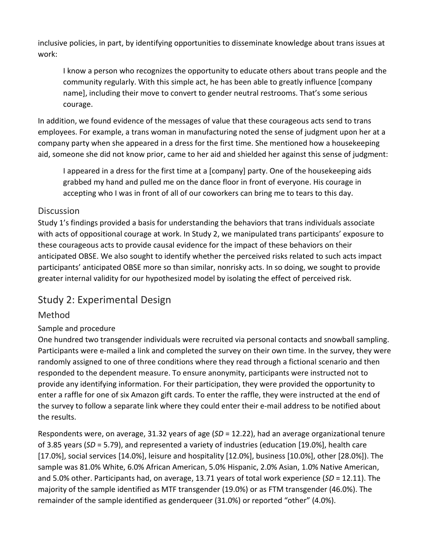inclusive policies, in part, by identifying opportunities to disseminate knowledge about trans issues at work:

I know a person who recognizes the opportunity to educate others about trans people and the community regularly. With this simple act, he has been able to greatly influence [company name], including their move to convert to gender neutral restrooms. That's some serious courage.

In addition, we found evidence of the messages of value that these courageous acts send to trans employees. For example, a trans woman in manufacturing noted the sense of judgment upon her at a company party when she appeared in a dress for the first time. She mentioned how a housekeeping aid, someone she did not know prior, came to her aid and shielded her against this sense of judgment:

I appeared in a dress for the first time at a [company] party. One of the housekeeping aids grabbed my hand and pulled me on the dance floor in front of everyone. His courage in accepting who I was in front of all of our coworkers can bring me to tears to this day.

### **Discussion**

Study 1's findings provided a basis for understanding the behaviors that trans individuals associate with acts of oppositional courage at work. In Study 2, we manipulated trans participants' exposure to these courageous acts to provide causal evidence for the impact of these behaviors on their anticipated OBSE. We also sought to identify whether the perceived risks related to such acts impact participants' anticipated OBSE more so than similar, nonrisky acts. In so doing, we sought to provide greater internal validity for our hypothesized model by isolating the effect of perceived risk.

# Study 2: Experimental Design

# Method

# Sample and procedure

One hundred two transgender individuals were recruited via personal contacts and snowball sampling. Participants were e-mailed a link and completed the survey on their own time. In the survey, they were randomly assigned to one of three conditions where they read through a fictional scenario and then responded to the dependent measure. To ensure anonymity, participants were instructed not to provide any identifying information. For their participation, they were provided the opportunity to enter a raffle for one of six Amazon gift cards. To enter the raffle, they were instructed at the end of the survey to follow a separate link where they could enter their e-mail address to be notified about the results.

Respondents were, on average, 31.32 years of age (*SD* = 12.22), had an average organizational tenure of 3.85 years (*SD* = 5.79), and represented a variety of industries (education [19.0%], health care [17.0%], social services [14.0%], leisure and hospitality [12.0%], business [10.0%], other [28.0%]). The sample was 81.0% White, 6.0% African American, 5.0% Hispanic, 2.0% Asian, 1.0% Native American, and 5.0% other. Participants had, on average, 13.71 years of total work experience (*SD* = 12.11). The majority of the sample identified as MTF transgender (19.0%) or as FTM transgender (46.0%). The remainder of the sample identified as genderqueer (31.0%) or reported "other" (4.0%).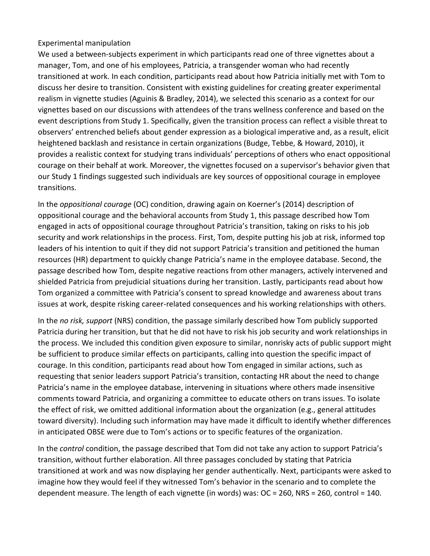#### Experimental manipulation

We used a between-subjects experiment in which participants read one of three vignettes about a manager, Tom, and one of his employees, Patricia, a transgender woman who had recently transitioned at work. In each condition, participants read about how Patricia initially met with Tom to discuss her desire to transition. Consistent with existing guidelines for creating greater experimental realism in vignette studies (Aguinis & Bradley, 2014), we selected this scenario as a context for our vignettes based on our discussions with attendees of the trans wellness conference and based on the event descriptions from Study 1. Specifically, given the transition process can reflect a visible threat to observers' entrenched beliefs about gender expression as a biological imperative and, as a result, elicit heightened backlash and resistance in certain organizations (Budge, Tebbe, & Howard, 2010), it provides a realistic context for studying trans individuals' perceptions of others who enact oppositional courage on their behalf at work. Moreover, the vignettes focused on a supervisor's behavior given that our Study 1 findings suggested such individuals are key sources of oppositional courage in employee transitions.

In the *oppositional courage* (OC) condition, drawing again on Koerner's (2014) description of oppositional courage and the behavioral accounts from Study 1, this passage described how Tom engaged in acts of oppositional courage throughout Patricia's transition, taking on risks to his job security and work relationships in the process. First, Tom, despite putting his job at risk, informed top leaders of his intention to quit if they did not support Patricia's transition and petitioned the human resources (HR) department to quickly change Patricia's name in the employee database. Second, the passage described how Tom, despite negative reactions from other managers, actively intervened and shielded Patricia from prejudicial situations during her transition. Lastly, participants read about how Tom organized a committee with Patricia's consent to spread knowledge and awareness about trans issues at work, despite risking career-related consequences and his working relationships with others.

In the *no risk, support* (NRS) condition, the passage similarly described how Tom publicly supported Patricia during her transition, but that he did not have to risk his job security and work relationships in the process. We included this condition given exposure to similar, nonrisky acts of public support might be sufficient to produce similar effects on participants, calling into question the specific impact of courage. In this condition, participants read about how Tom engaged in similar actions, such as requesting that senior leaders support Patricia's transition, contacting HR about the need to change Patricia's name in the employee database, intervening in situations where others made insensitive comments toward Patricia, and organizing a committee to educate others on trans issues. To isolate the effect of risk, we omitted additional information about the organization (e.g., general attitudes toward diversity). Including such information may have made it difficult to identify whether differences in anticipated OBSE were due to Tom's actions or to specific features of the organization.

In the *control* condition, the passage described that Tom did not take any action to support Patricia's transition, without further elaboration. All three passages concluded by stating that Patricia transitioned at work and was now displaying her gender authentically. Next, participants were asked to imagine how they would feel if they witnessed Tom's behavior in the scenario and to complete the dependent measure. The length of each vignette (in words) was: OC = 260, NRS = 260, control = 140.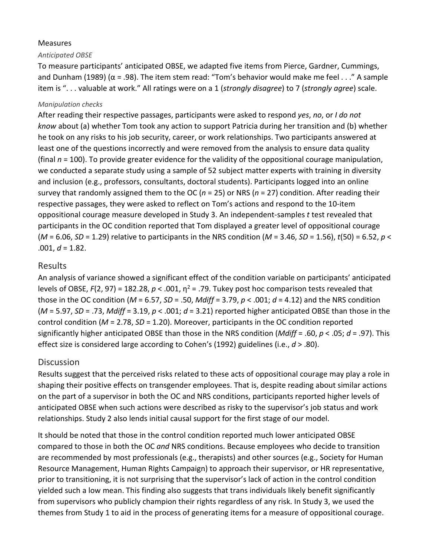#### Measures

#### *Anticipated OBSE*

To measure participants' anticipated OBSE, we adapted five items from Pierce, Gardner, Cummings, and Dunham (1989) ( $\alpha$  = .98). The item stem read: "Tom's behavior would make me feel . . ." A sample item is ". . . valuable at work." All ratings were on a 1 (*strongly disagree*) to 7 (*strongly agree*) scale.

#### *Manipulation checks*

After reading their respective passages, participants were asked to respond *yes*, *no*, or *I do not know* about (a) whether Tom took any action to support Patricia during her transition and (b) whether he took on any risks to his job security, career, or work relationships. Two participants answered at least one of the questions incorrectly and were removed from the analysis to ensure data quality (final *n* = 100). To provide greater evidence for the validity of the oppositional courage manipulation, we conducted a separate study using a sample of 52 subject matter experts with training in diversity and inclusion (e.g., professors, consultants, doctoral students). Participants logged into an online survey that randomly assigned them to the OC (*n* = 25) or NRS (*n* = 27) condition. After reading their respective passages, they were asked to reflect on Tom's actions and respond to the 10-item oppositional courage measure developed in Study 3. An independent-samples *t* test revealed that participants in the OC condition reported that Tom displayed a greater level of oppositional courage (*M* = 6.06, *SD* = 1.29) relative to participants in the NRS condition (*M* = 3.46, *SD* = 1.56), *t*(50) = 6.52, *p* <  $.001, d = 1.82.$ 

#### Results

An analysis of variance showed a significant effect of the condition variable on participants' anticipated levels of OBSE,  $F(2, 97) = 182.28$ ,  $p < .001$ ,  $\eta^2 = .79$ . Tukey post hoc comparison tests revealed that those in the OC condition (*M* = 6.57, *SD* = .50, *Mdiff* = 3.79, *p* < .001; *d* = 4.12) and the NRS condition (*M* = 5.97, *SD* = .73, *Mdiff* = 3.19, *p* < .001; *d* = 3.21) reported higher anticipated OBSE than those in the control condition (*M* = 2.78, *SD* = 1.20). Moreover, participants in the OC condition reported significantly higher anticipated OBSE than those in the NRS condition (*Mdiff* = .60, *p* < .05; *d* = .97). This effect size is considered large according to Cohen's (1992) guidelines (i.e., *d* > .80).

### **Discussion**

Results suggest that the perceived risks related to these acts of oppositional courage may play a role in shaping their positive effects on transgender employees. That is, despite reading about similar actions on the part of a supervisor in both the OC and NRS conditions, participants reported higher levels of anticipated OBSE when such actions were described as risky to the supervisor's job status and work relationships. Study 2 also lends initial causal support for the first stage of our model.

It should be noted that those in the control condition reported much lower anticipated OBSE compared to those in both the OC *and* NRS conditions. Because employees who decide to transition are recommended by most professionals (e.g., therapists) and other sources (e.g., Society for Human Resource Management, Human Rights Campaign) to approach their supervisor, or HR representative, prior to transitioning, it is not surprising that the supervisor's lack of action in the control condition yielded such a low mean. This finding also suggests that trans individuals likely benefit significantly from supervisors who publicly champion their rights regardless of any risk. In Study 3, we used the themes from Study 1 to aid in the process of generating items for a measure of oppositional courage.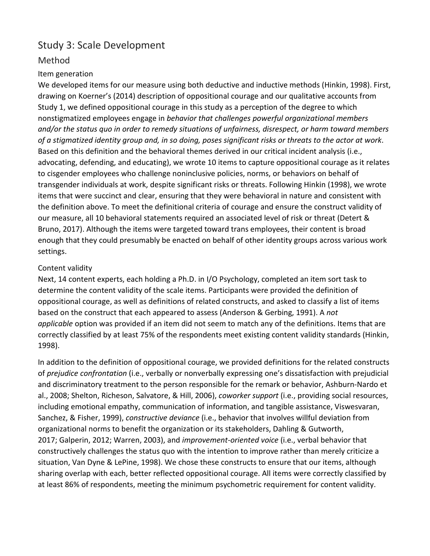# Study 3: Scale Development

# Method

#### Item generation

We developed items for our measure using both deductive and inductive methods (Hinkin, 1998). First, drawing on Koerner's (2014) description of oppositional courage and our qualitative accounts from Study 1, we defined oppositional courage in this study as a perception of the degree to which nonstigmatized employees engage in *behavior that challenges powerful organizational members and/or the status quo in order to remedy situations of unfairness, disrespect, or harm toward members of a stigmatized identity group and, in so doing, poses significant risks or threats to the actor at work*. Based on this definition and the behavioral themes derived in our critical incident analysis (i.e., advocating, defending, and educating), we wrote 10 items to capture oppositional courage as it relates to cisgender employees who challenge noninclusive policies, norms, or behaviors on behalf of transgender individuals at work, despite significant risks or threats. Following Hinkin (1998), we wrote items that were succinct and clear, ensuring that they were behavioral in nature and consistent with the definition above. To meet the definitional criteria of courage and ensure the construct validity of our measure, all 10 behavioral statements required an associated level of risk or threat (Detert & Bruno, 2017). Although the items were targeted toward trans employees, their content is broad enough that they could presumably be enacted on behalf of other identity groups across various work settings.

#### Content validity

Next, 14 content experts, each holding a Ph.D. in I/O Psychology, completed an item sort task to determine the content validity of the scale items. Participants were provided the definition of oppositional courage, as well as definitions of related constructs, and asked to classify a list of items based on the construct that each appeared to assess (Anderson & Gerbing, 1991). A *not applicable* option was provided if an item did not seem to match any of the definitions. Items that are correctly classified by at least 75% of the respondents meet existing content validity standards (Hinkin, 1998).

In addition to the definition of oppositional courage, we provided definitions for the related constructs of *prejudice confrontation* (i.e., verbally or nonverbally expressing one's dissatisfaction with prejudicial and discriminatory treatment to the person responsible for the remark or behavior, Ashburn-Nardo et al., 2008; Shelton, Richeson, Salvatore, & Hill, 2006), *coworker support* (i.e., providing social resources, including emotional empathy, communication of information, and tangible assistance, Viswesvaran, Sanchez, & Fisher, 1999), *constructive deviance* (i.e., behavior that involves willful deviation from organizational norms to benefit the organization or its stakeholders, Dahling & Gutworth, 2017; Galperin, 2012; Warren, 2003), and *improvement-oriented voice* (i.e., verbal behavior that constructively challenges the status quo with the intention to improve rather than merely criticize a situation, Van Dyne & LePine, 1998). We chose these constructs to ensure that our items, although sharing overlap with each, better reflected oppositional courage. All items were correctly classified by at least 86% of respondents, meeting the minimum psychometric requirement for content validity.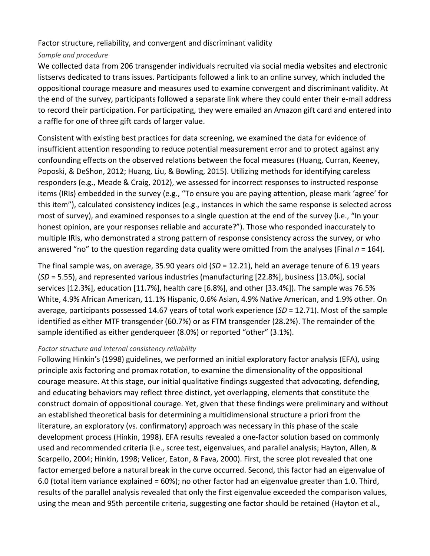Factor structure, reliability, and convergent and discriminant validity

#### *Sample and procedure*

We collected data from 206 transgender individuals recruited via social media websites and electronic listservs dedicated to trans issues. Participants followed a link to an online survey, which included the oppositional courage measure and measures used to examine convergent and discriminant validity. At the end of the survey, participants followed a separate link where they could enter their e-mail address to record their participation. For participating, they were emailed an Amazon gift card and entered into a raffle for one of three gift cards of larger value.

Consistent with existing best practices for data screening, we examined the data for evidence of insufficient attention responding to reduce potential measurement error and to protect against any confounding effects on the observed relations between the focal measures (Huang, Curran, Keeney, Poposki, & DeShon, 2012; Huang, Liu, & Bowling, 2015). Utilizing methods for identifying careless responders (e.g., Meade & Craig, 2012), we assessed for incorrect responses to instructed response items (IRIs) embedded in the survey (e.g., "To ensure you are paying attention, please mark 'agree' for this item"), calculated consistency indices (e.g., instances in which the same response is selected across most of survey), and examined responses to a single question at the end of the survey (i.e., "In your honest opinion, are your responses reliable and accurate?"). Those who responded inaccurately to multiple IRIs, who demonstrated a strong pattern of response consistency across the survey, or who answered "no" to the question regarding data quality were omitted from the analyses (Final *n* = 164).

The final sample was, on average, 35.90 years old (*SD* = 12.21), held an average tenure of 6.19 years (*SD* = 5.55), and represented various industries (manufacturing [22.8%], business [13.0%], social services [12.3%], education [11.7%], health care [6.8%], and other [33.4%]). The sample was 76.5% White, 4.9% African American, 11.1% Hispanic, 0.6% Asian, 4.9% Native American, and 1.9% other. On average, participants possessed 14.67 years of total work experience (*SD* = 12.71). Most of the sample identified as either MTF transgender (60.7%) or as FTM transgender (28.2%). The remainder of the sample identified as either genderqueer (8.0%) or reported "other" (3.1%).

#### *Factor structure and internal consistency reliability*

Following Hinkin's (1998) guidelines, we performed an initial exploratory factor analysis (EFA), using principle axis factoring and promax rotation, to examine the dimensionality of the oppositional courage measure. At this stage, our initial qualitative findings suggested that advocating, defending, and educating behaviors may reflect three distinct, yet overlapping, elements that constitute the construct domain of oppositional courage. Yet, given that these findings were preliminary and without an established theoretical basis for determining a multidimensional structure a priori from the literature, an exploratory (vs. confirmatory) approach was necessary in this phase of the scale development process (Hinkin, 1998). EFA results revealed a one-factor solution based on commonly used and recommended criteria (i.e., scree test, eigenvalues, and parallel analysis; Hayton, Allen, & Scarpello, 2004; Hinkin, 1998; Velicer, Eaton, & Fava, 2000). First, the scree plot revealed that one factor emerged before a natural break in the curve occurred. Second, this factor had an eigenvalue of 6.0 (total item variance explained = 60%); no other factor had an eigenvalue greater than 1.0. Third, results of the parallel analysis revealed that only the first eigenvalue exceeded the comparison values, using the mean and 95th percentile criteria, suggesting one factor should be retained (Hayton et al.,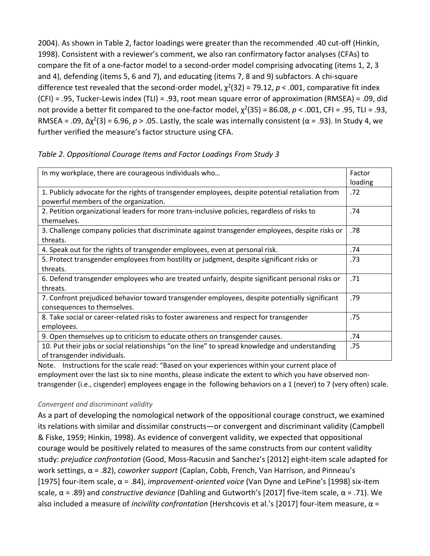2004). As shown in Table 2, factor loadings were greater than the recommended .40 cut-off (Hinkin, 1998). Consistent with a reviewer's comment, we also ran confirmatory factor analyses (CFAs) to compare the fit of a one-factor model to a second-order model comprising advocating (items 1, 2, 3 and 4), defending (items 5, 6 and 7), and educating (items 7, 8 and 9) subfactors. A chi-square difference test revealed that the second-order model,  $\chi^2(32)$  = 79.12,  $p < .001$ , comparative fit index (CFI) = .95, Tucker-Lewis index (TLI) = .93, root mean square error of approximation (RMSEA) = .09, did not provide a better fit compared to the one-factor model,  $\chi^2(35) = 86.08$ ,  $p < .001$ , CFI = .95, TLI = .93, RMSEA = .09,  $Δχ²(3) = 6.96, p > .05$ . Lastly, the scale was internally consistent ( $α = .93$ ). In Study 4, we further verified the measure's factor structure using CFA.

| In my workplace, there are courageous individuals who                                            | Factor  |
|--------------------------------------------------------------------------------------------------|---------|
|                                                                                                  | loading |
| 1. Publicly advocate for the rights of transgender employees, despite potential retaliation from | .72     |
| powerful members of the organization.                                                            |         |
| 2. Petition organizational leaders for more trans-inclusive policies, regardless of risks to     | .74     |
| themselves.                                                                                      |         |
| 3. Challenge company policies that discriminate against transgender employees, despite risks or  | .78     |
| threats.                                                                                         |         |
| 4. Speak out for the rights of transgender employees, even at personal risk.                     | .74     |
| 5. Protect transgender employees from hostility or judgment, despite significant risks or        | .73     |
| threats.                                                                                         |         |
| 6. Defend transgender employees who are treated unfairly, despite significant personal risks or  | .71     |
| threats.                                                                                         |         |
| 7. Confront prejudiced behavior toward transgender employees, despite potentially significant    | .79     |
| consequences to themselves.                                                                      |         |
| 8. Take social or career-related risks to foster awareness and respect for transgender           | .75     |
| employees.                                                                                       |         |
| 9. Open themselves up to criticism to educate others on transgender causes.                      | .74     |
| 10. Put their jobs or social relationships "on the line" to spread knowledge and understanding   | .75     |
| of transgender individuals.                                                                      |         |
|                                                                                                  |         |

#### *Table 2. Oppositional Courage Items and Factor Loadings From Study 3*

Note. Instructions for the scale read: "Based on your experiences within your current place of employment over the last six to nine months, please indicate the extent to which you have observed nontransgender (i.e., cisgender) employees engage in the following behaviors on a 1 (never) to 7 (very often) scale.

#### *Convergent and discriminant validity*

As a part of developing the nomological network of the oppositional courage construct, we examined its relations with similar and dissimilar constructs—or convergent and discriminant validity (Campbell & Fiske, 1959; Hinkin, 1998). As evidence of convergent validity, we expected that oppositional courage would be positively related to measures of the same constructs from our content validity study: *prejudice confrontation* (Good, Moss-Racusin and Sanchez's [2012] eight-item scale adapted for work settings, α = .82), *coworker support* (Caplan, Cobb, French, Van Harrison, and Pinneau's [1975] four-item scale, α = .84), *improvement-oriented voice* (Van Dyne and LePine's [1998] six-item scale, α = .89) and *constructive deviance* (Dahling and Gutworth's [2017] five-item scale, α = .71). We also included a measure of *incivility confrontation* (Hershcovis et al.'s [2017] four-item measure, α =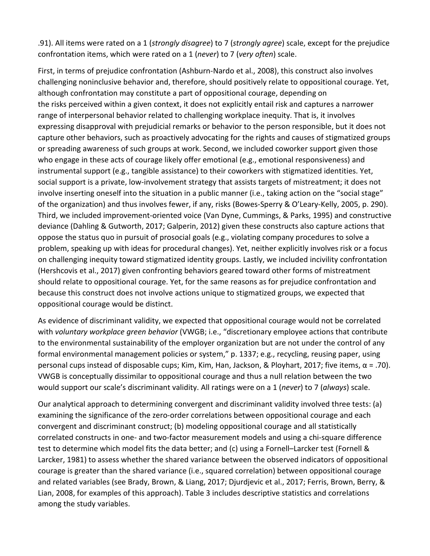.91). All items were rated on a 1 (*strongly disagree*) to 7 (*strongly agree*) scale, except for the prejudice confrontation items, which were rated on a 1 (*never*) to 7 (*very often*) scale.

First, in terms of prejudice confrontation (Ashburn-Nardo et al., 2008), this construct also involves challenging noninclusive behavior and, therefore, should positively relate to oppositional courage. Yet, although confrontation may constitute a part of oppositional courage, depending on the risks perceived within a given context, it does not explicitly entail risk and captures a narrower range of interpersonal behavior related to challenging workplace inequity. That is, it involves expressing disapproval with prejudicial remarks or behavior to the person responsible, but it does not capture other behaviors, such as proactively advocating for the rights and causes of stigmatized groups or spreading awareness of such groups at work. Second, we included coworker support given those who engage in these acts of courage likely offer emotional (e.g., emotional responsiveness) and instrumental support (e.g., tangible assistance) to their coworkers with stigmatized identities. Yet, social support is a private, low-involvement strategy that assists targets of mistreatment; it does not involve inserting oneself into the situation in a public manner (i.e., taking action on the "social stage" of the organization) and thus involves fewer, if any, risks (Bowes-Sperry & O'Leary-Kelly, 2005, p. 290). Third, we included improvement-oriented voice (Van Dyne, Cummings, & Parks, 1995) and constructive deviance (Dahling & Gutworth, 2017; Galperin, 2012) given these constructs also capture actions that oppose the status quo in pursuit of prosocial goals (e.g., violating company procedures to solve a problem, speaking up with ideas for procedural changes). Yet, neither explicitly involves risk or a focus on challenging inequity toward stigmatized identity groups. Lastly, we included incivility confrontation (Hershcovis et al., 2017) given confronting behaviors geared toward other forms of mistreatment should relate to oppositional courage. Yet, for the same reasons as for prejudice confrontation and because this construct does not involve actions unique to stigmatized groups, we expected that oppositional courage would be distinct.

As evidence of discriminant validity, we expected that oppositional courage would not be correlated with *voluntary workplace green behavior* (VWGB; i.e., "discretionary employee actions that contribute to the environmental sustainability of the employer organization but are not under the control of any formal environmental management policies or system," p. 1337; e.g., recycling, reusing paper, using personal cups instead of disposable cups; Kim, Kim, Han, Jackson, & Ployhart, 2017; five items, α = .70). VWGB is conceptually dissimilar to oppositional courage and thus a null relation between the two would support our scale's discriminant validity. All ratings were on a 1 (*never*) to 7 (*always*) scale.

Our analytical approach to determining convergent and discriminant validity involved three tests: (a) examining the significance of the zero-order correlations between oppositional courage and each convergent and discriminant construct; (b) modeling oppositional courage and all statistically correlated constructs in one- and two-factor measurement models and using a chi-square difference test to determine which model fits the data better; and (c) using a Fornell–Larcker test (Fornell & Larcker, 1981) to assess whether the shared variance between the observed indicators of oppositional courage is greater than the shared variance (i.e., squared correlation) between oppositional courage and related variables (see Brady, Brown, & Liang, 2017; Djurdjevic et al., 2017; Ferris, Brown, Berry, & Lian, 2008, for examples of this approach). Table 3 includes descriptive statistics and correlations among the study variables.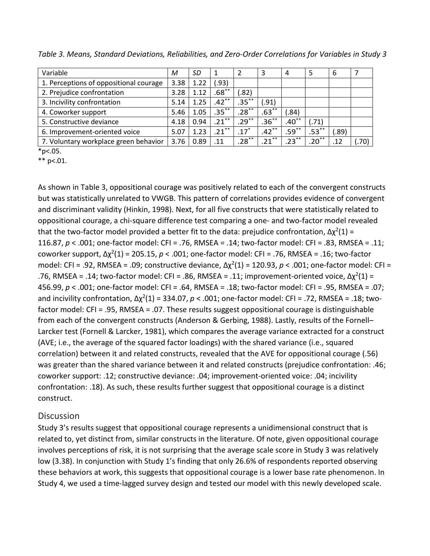| Variable                               | М    | SD   |            |                    | 3        | 4          | 5        | 6     |       |
|----------------------------------------|------|------|------------|--------------------|----------|------------|----------|-------|-------|
| 1. Perceptions of oppositional courage | 3.38 | 1.22 | (.93)      |                    |          |            |          |       |       |
| 2. Prejudice confrontation             | 3.28 | 1.12 | $.68^{**}$ | (.82)              |          |            |          |       |       |
| 3. Incivility confrontation            | 5.14 | 1.25 | $.42***$   | $.35***$           | (.91)    |            |          |       |       |
| 4. Coworker support                    | 5.46 | 1.05 | $.35***$   | $.28***$           | $.63***$ | (.84)      |          |       |       |
| 5. Constructive deviance               | 4.18 | 0.94 | $.21***$   | $.29***$           | $.36***$ | $.40^{**}$ | (.71)    |       |       |
| 6. Improvement-oriented voice          | 5.07 | 1.23 | $.21***$   | $.17$ <sup>*</sup> | $.42***$ | $.59***$   | $.53***$ | (.89) |       |
| 7. Voluntary workplace green behavior  | 3.76 | 0.89 | .11        | $.28***$           | $.21***$ | $.23***$   | $.20***$ | .12   | (.70) |

*Table 3. Means, Standard Deviations, Reliabilities, and Zero-Order Correlations for Variables in Study 3*

 $*p<.05.$ 

 $**$  p<.01.

As shown in Table 3, oppositional courage was positively related to each of the convergent constructs but was statistically unrelated to VWGB. This pattern of correlations provides evidence of convergent and discriminant validity (Hinkin, 1998). Next, for all five constructs that were statistically related to oppositional courage, a chi-square difference test comparing a one- and two-factor model revealed that the two-factor model provided a better fit to the data: prejudice confrontation,  $\Delta \chi^2(1)$  = 116.87, *p* < .001; one-factor model: CFI = .76, RMSEA = .14; two-factor model: CFI = .83, RMSEA = .11; coworker support, Δχ2(1) = 205.15, *p* < .001; one-factor model: CFI = .76, RMSEA = .16; two-factor model: CFI = .92, RMSEA = .09; constructive deviance, Δχ2(1) = 120.93, *p* < .001; one-factor model: CFI = .76, RMSEA = .14; two-factor model: CFI = .86, RMSEA = .11; improvement-oriented voice,  $Δχ²(1) =$ 456.99, *p* < .001; one-factor model: CFI = .64, RMSEA = .18; two-factor model: CFI = .95, RMSEA = .07; and incivility confrontation, Δχ2(1) = 334.07, *p* < .001; one-factor model: CFI = .72, RMSEA = .18; twofactor model: CFI = .95, RMSEA = .07. These results suggest oppositional courage is distinguishable from each of the convergent constructs (Anderson & Gerbing, 1988). Lastly, results of the Fornell– Larcker test (Fornell & Larcker, 1981), which compares the average variance extracted for a construct (AVE; i.e., the average of the squared factor loadings) with the shared variance (i.e., squared correlation) between it and related constructs, revealed that the AVE for oppositional courage (.56) was greater than the shared variance between it and related constructs (prejudice confrontation: .46; coworker support: .12; constructive deviance: .04; improvement-oriented voice: .04; incivility confrontation: .18). As such, these results further suggest that oppositional courage is a distinct construct.

### **Discussion**

Study 3's results suggest that oppositional courage represents a unidimensional construct that is related to, yet distinct from, similar constructs in the literature. Of note, given oppositional courage involves perceptions of risk, it is not surprising that the average scale score in Study 3 was relatively low (3.38). In conjunction with Study 1's finding that only 26.6% of respondents reported observing these behaviors at work, this suggests that oppositional courage is a lower base rate phenomenon. In Study 4, we used a time-lagged survey design and tested our model with this newly developed scale.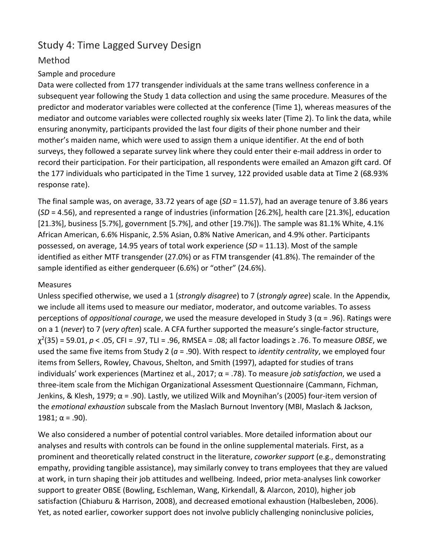# Study 4: Time Lagged Survey Design

# Method

### Sample and procedure

Data were collected from 177 transgender individuals at the same trans wellness conference in a subsequent year following the Study 1 data collection and using the same procedure. Measures of the predictor and moderator variables were collected at the conference (Time 1), whereas measures of the mediator and outcome variables were collected roughly six weeks later (Time 2). To link the data, while ensuring anonymity, participants provided the last four digits of their phone number and their mother's maiden name, which were used to assign them a unique identifier. At the end of both surveys, they followed a separate survey link where they could enter their e-mail address in order to record their participation. For their participation, all respondents were emailed an Amazon gift card. Of the 177 individuals who participated in the Time 1 survey, 122 provided usable data at Time 2 (68.93% response rate).

The final sample was, on average, 33.72 years of age (*SD* = 11.57), had an average tenure of 3.86 years (*SD* = 4.56), and represented a range of industries (information [26.2%], health care [21.3%], education [21.3%], business [5.7%], government [5.7%], and other [19.7%]). The sample was 81.1% White, 4.1% African American, 6.6% Hispanic, 2.5% Asian, 0.8% Native American, and 4.9% other. Participants possessed, on average, 14.95 years of total work experience (*SD* = 11.13). Most of the sample identified as either MTF transgender (27.0%) or as FTM transgender (41.8%). The remainder of the sample identified as either genderqueer (6.6%) or "other" (24.6%).

#### Measures

Unless specified otherwise, we used a 1 (*strongly disagree*) to 7 (*strongly agree*) scale. In the Appendix, we include all items used to measure our mediator, moderator, and outcome variables. To assess perceptions of *oppositional courage*, we used the measure developed in Study 3 (α = .96). Ratings were on a 1 (*never*) to 7 (*very often*) scale. A CFA further supported the measure's single-factor structure, χ2(35) = 59.01, *p* < .05, CFI = .97, TLI = .96, RMSEA = .08; all factor loadings ≥ .76. To measure *OBSE*, we used the same five items from Study 2 (*a* = .90). With respect to *identity centrality*, we employed four items from Sellers, Rowley, Chavous, Shelton, and Smith (1997), adapted for studies of trans individuals' work experiences (Martinez et al., 2017; α = .78). To measure *job satisfaction*, we used a three-item scale from the Michigan Organizational Assessment Questionnaire (Cammann, Fichman, Jenkins, & Klesh, 1979; α = .90). Lastly, we utilized Wilk and Moynihan's (2005) four-item version of the *emotional exhaustion* subscale from the Maslach Burnout Inventory (MBI, Maslach & Jackson, 1981;  $\alpha$  = .90).

We also considered a number of potential control variables. More detailed information about our analyses and results with controls can be found in the online supplemental materials. First, as a prominent and theoretically related construct in the literature, *coworker support* (e.g., demonstrating empathy, providing tangible assistance), may similarly convey to trans employees that they are valued at work, in turn shaping their job attitudes and wellbeing. Indeed, prior meta-analyses link coworker support to greater OBSE (Bowling, Eschleman, Wang, Kirkendall, & Alarcon, 2010), higher job satisfaction (Chiaburu & Harrison, 2008), and decreased emotional exhaustion (Halbesleben, 2006). Yet, as noted earlier, coworker support does not involve publicly challenging noninclusive policies,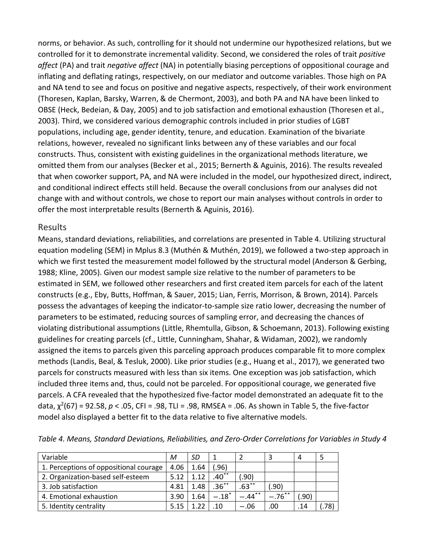norms, or behavior. As such, controlling for it should not undermine our hypothesized relations, but we controlled for it to demonstrate incremental validity. Second, we considered the roles of trait *positive affect* (PA) and trait *negative affect* (NA) in potentially biasing perceptions of oppositional courage and inflating and deflating ratings, respectively, on our mediator and outcome variables. Those high on PA and NA tend to see and focus on positive and negative aspects, respectively, of their work environment (Thoresen, Kaplan, Barsky, Warren, & de Chermont, 2003), and both PA and NA have been linked to OBSE (Heck, Bedeian, & Day, 2005) and to job satisfaction and emotional exhaustion (Thoresen et al., 2003). Third, we considered various demographic controls included in prior studies of LGBT populations, including age, gender identity, tenure, and education. Examination of the bivariate relations, however, revealed no significant links between any of these variables and our focal constructs. Thus, consistent with existing guidelines in the organizational methods literature, we omitted them from our analyses (Becker et al., 2015; Bernerth & Aguinis, 2016). The results revealed that when coworker support, PA, and NA were included in the model, our hypothesized direct, indirect, and conditional indirect effects still held. Because the overall conclusions from our analyses did not change with and without controls, we chose to report our main analyses without controls in order to offer the most interpretable results (Bernerth & Aguinis, 2016).

#### Results

Means, standard deviations, reliabilities, and correlations are presented in Table 4. Utilizing structural equation modeling (SEM) in Mplus 8.3 (Muthén & Muthén, 2019), we followed a two-step approach in which we first tested the measurement model followed by the structural model (Anderson & Gerbing, 1988; Kline, 2005). Given our modest sample size relative to the number of parameters to be estimated in SEM, we followed other researchers and first created item parcels for each of the latent constructs (e.g., Eby, Butts, Hoffman, & Sauer, 2015; Lian, Ferris, Morrison, & Brown, 2014). Parcels possess the advantages of keeping the indicator-to-sample size ratio lower, decreasing the number of parameters to be estimated, reducing sources of sampling error, and decreasing the chances of violating distributional assumptions (Little, Rhemtulla, Gibson, & Schoemann, 2013). Following existing guidelines for creating parcels (cf., Little, Cunningham, Shahar, & Widaman, 2002), we randomly assigned the items to parcels given this parceling approach produces comparable fit to more complex methods (Landis, Beal, & Tesluk, 2000). Like prior studies (e.g., Huang et al., 2017), we generated two parcels for constructs measured with less than six items. One exception was job satisfaction, which included three items and, thus, could not be parceled. For oppositional courage, we generated five parcels. A CFA revealed that the hypothesized five-factor model demonstrated an adequate fit to the data, χ2(67) = 92.58, *p* < .05, CFI = .98, TLI = .98, RMSEA = .06. As shown in Table 5, the five-factor model also displayed a better fit to the data relative to five alternative models.

| Variable                               | М    | SD   |                     |           |          | 4     |      |
|----------------------------------------|------|------|---------------------|-----------|----------|-------|------|
| 1. Perceptions of oppositional courage | 4.06 | L.64 | (.96)               |           |          |       |      |
| 2. Organization-based self-esteem      | 5.12 | 1.12 | $.40**$             | .90)      |          |       |      |
| 3. Job satisfaction                    | 4.81 | 1.48 | $.36***$            | $.63***$  | (90. ٰ   |       |      |
| 4. Emotional exhaustion                | 3.90 | 1.64 | $-.18$ <sup>*</sup> | $-.44***$ | $-76$ ** | (.90) |      |
| 5. Identity centrality                 | 5.15 | ົາາ  | .10                 | $-.06$    | .00      | .14   | .78) |

*Table 4. Means, Standard Deviations, Reliabilities, and Zero-Order Correlations for Variables in Study 4*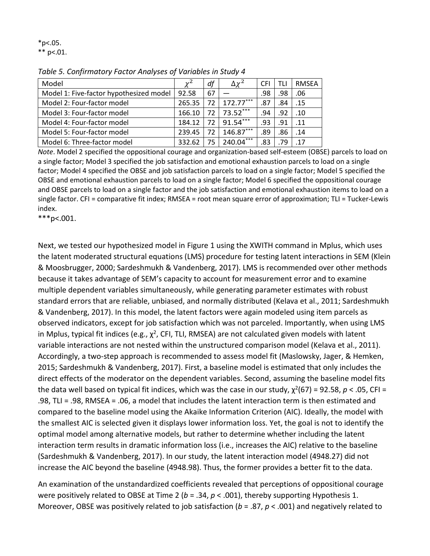$*p<.05.$  $**$  p<.01.

| Model                                   | $\nu^2$ | df   | $\Delta \chi^2$ | <b>CFI</b> | TLI | <b>RMSEA</b> |
|-----------------------------------------|---------|------|-----------------|------------|-----|--------------|
| Model 1: Five-factor hypothesized model | 92.58   | 67   |                 | .98        | .98 | .06          |
| Model 2: Four-factor model              | 265.35  | 72 L | $172.77***$     | .87        | .84 | .15          |
| Model 3: Four-factor model              | 166.10  | 72 I | $73.52***$      | .94        | .92 | .10          |
| Model 4: Four-factor model              | 184.12  |      | 72 91.54***     | .93        | .91 | .11          |
| Model 5: Four-factor model              | 239.45  | 72   | $146.87***$     | .89        | .86 | .14          |
| Model 6: Three-factor model             | 332.62  | 75   | $240.04***$     | .83        | .79 | .17          |

*Table 5. Confirmatory Factor Analyses of Variables in Study 4*

*Note*. Model 2 specified the oppositional courage and organization-based self-esteem (OBSE) parcels to load on a single factor; Model 3 specified the job satisfaction and emotional exhaustion parcels to load on a single factor; Model 4 specified the OBSE and job satisfaction parcels to load on a single factor; Model 5 specified the OBSE and emotional exhaustion parcels to load on a single factor; Model 6 specified the oppositional courage and OBSE parcels to load on a single factor and the job satisfaction and emotional exhaustion items to load on a single factor. CFI = comparative fit index; RMSEA = root mean square error of approximation; TLI = Tucker-Lewis index.

\*\*\*p<.001.

Next, we tested our hypothesized model in Figure 1 using the XWITH command in Mplus, which uses the latent moderated structural equations (LMS) procedure for testing latent interactions in SEM (Klein & Moosbrugger, 2000; Sardeshmukh & Vandenberg, 2017). LMS is recommended over other methods because it takes advantage of SEM's capacity to account for measurement error and to examine multiple dependent variables simultaneously, while generating parameter estimates with robust standard errors that are reliable, unbiased, and normally distributed (Kelava et al., 2011; Sardeshmukh & Vandenberg, 2017). In this model, the latent factors were again modeled using item parcels as observed indicators, except for job satisfaction which was not parceled. Importantly, when using LMS in Mplus, typical fit indices (e.g.,  $\chi^2$ , CFI, TLI, RMSEA) are not calculated given models with latent variable interactions are not nested within the unstructured comparison model (Kelava et al., 2011). Accordingly, a two-step approach is recommended to assess model fit (Maslowsky, Jager, & Hemken, 2015; Sardeshmukh & Vandenberg, 2017). First, a baseline model is estimated that only includes the direct effects of the moderator on the dependent variables. Second, assuming the baseline model fits the data well based on typical fit indices, which was the case in our study,  $\chi^2(67) = 92.58$ ,  $p < .05$ , CFI = .98, TLI = .98, RMSEA = .06, a model that includes the latent interaction term is then estimated and compared to the baseline model using the Akaike Information Criterion (AIC). Ideally, the model with the smallest AIC is selected given it displays lower information loss. Yet, the goal is not to identify the optimal model among alternative models, but rather to determine whether including the latent interaction term results in dramatic information loss (i.e., increases the AIC) relative to the baseline (Sardeshmukh & Vandenberg, 2017). In our study, the latent interaction model (4948.27) did not increase the AIC beyond the baseline (4948.98). Thus, the former provides a better fit to the data.

An examination of the unstandardized coefficients revealed that perceptions of oppositional courage were positively related to OBSE at Time 2 (*b* = .34, *p* < .001), thereby supporting Hypothesis 1. Moreover, OBSE was positively related to job satisfaction (*b* = .87, *p* < .001) and negatively related to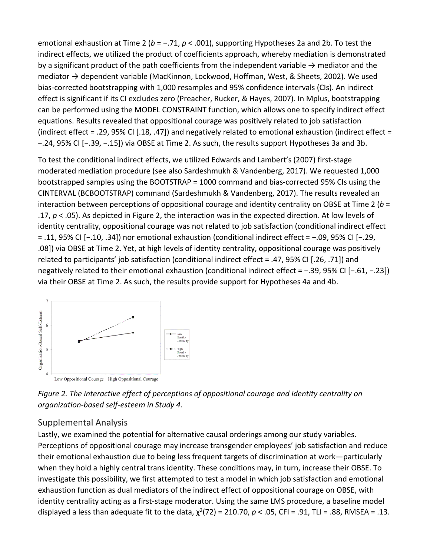emotional exhaustion at Time 2 (*b* = −.71, *p* < .001), supporting Hypotheses 2a and 2b. To test the indirect effects, we utilized the product of coefficients approach, whereby mediation is demonstrated by a significant product of the path coefficients from the independent variable  $\rightarrow$  mediator and the mediator → dependent variable (MacKinnon, Lockwood, Hoffman, West, & Sheets, 2002). We used bias-corrected bootstrapping with 1,000 resamples and 95% confidence intervals (CIs). An indirect effect is significant if its CI excludes zero (Preacher, Rucker, & Hayes, 2007). In Mplus, bootstrapping can be performed using the MODEL CONSTRAINT function, which allows one to specify indirect effect equations. Results revealed that oppositional courage was positively related to job satisfaction (indirect effect = .29, 95% CI [.18, .47]) and negatively related to emotional exhaustion (indirect effect = −.24, 95% CI [−.39, −.15]) via OBSE at Time 2. As such, the results support Hypotheses 3a and 3b.

To test the conditional indirect effects, we utilized Edwards and Lambert's (2007) first-stage moderated mediation procedure (see also Sardeshmukh & Vandenberg, 2017). We requested 1,000 bootstrapped samples using the BOOTSTRAP = 1000 command and bias-corrected 95% CIs using the CINTERVAL (BCBOOTSTRAP) command (Sardeshmukh & Vandenberg, 2017). The results revealed an interaction between perceptions of oppositional courage and identity centrality on OBSE at Time 2 (*b* = .17, *p* < .05). As depicted in Figure 2, the interaction was in the expected direction. At low levels of identity centrality, oppositional courage was not related to job satisfaction (conditional indirect effect = .11, 95% CI [−.10, .34]) nor emotional exhaustion (conditional indirect effect = −.09, 95% CI [−.29, .08]) via OBSE at Time 2. Yet, at high levels of identity centrality, oppositional courage was positively related to participants' job satisfaction (conditional indirect effect = .47, 95% CI [.26, .71]) and negatively related to their emotional exhaustion (conditional indirect effect = −.39, 95% CI [−.61, −.23]) via their OBSE at Time 2. As such, the results provide support for Hypotheses 4a and 4b.



*Figure 2. The interactive effect of perceptions of oppositional courage and identity centrality on organization-based self-esteem in Study 4.*

# Supplemental Analysis

Lastly, we examined the potential for alternative causal orderings among our study variables. Perceptions of oppositional courage may increase transgender employees' job satisfaction and reduce their emotional exhaustion due to being less frequent targets of discrimination at work—particularly when they hold a highly central trans identity. These conditions may, in turn, increase their OBSE. To investigate this possibility, we first attempted to test a model in which job satisfaction and emotional exhaustion function as dual mediators of the indirect effect of oppositional courage on OBSE, with identity centrality acting as a first-stage moderator. Using the same LMS procedure, a baseline model displayed a less than adequate fit to the data,  $\chi^2(72) = 210.70$ ,  $p < .05$ , CFI = .91, TLI = .88, RMSEA = .13.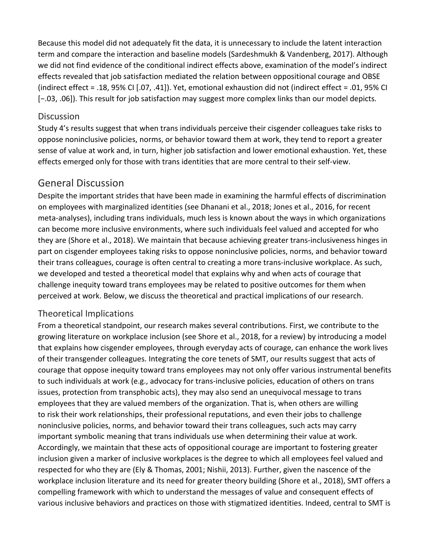Because this model did not adequately fit the data, it is unnecessary to include the latent interaction term and compare the interaction and baseline models (Sardeshmukh & Vandenberg, 2017). Although we did not find evidence of the conditional indirect effects above, examination of the model's indirect effects revealed that job satisfaction mediated the relation between oppositional courage and OBSE (indirect effect = .18, 95% CI [.07, .41]). Yet, emotional exhaustion did not (indirect effect = .01, 95% CI [−.03, .06]). This result for job satisfaction may suggest more complex links than our model depicts.

#### **Discussion**

Study 4's results suggest that when trans individuals perceive their cisgender colleagues take risks to oppose noninclusive policies, norms, or behavior toward them at work, they tend to report a greater sense of value at work and, in turn, higher job satisfaction and lower emotional exhaustion. Yet, these effects emerged only for those with trans identities that are more central to their self-view.

# General Discussion

Despite the important strides that have been made in examining the harmful effects of discrimination on employees with marginalized identities (see Dhanani et al., 2018; Jones et al., 2016, for recent meta-analyses), including trans individuals, much less is known about the ways in which organizations can become more inclusive environments, where such individuals feel valued and accepted for who they are (Shore et al., 2018). We maintain that because achieving greater trans-inclusiveness hinges in part on cisgender employees taking risks to oppose noninclusive policies, norms, and behavior toward their trans colleagues, courage is often central to creating a more trans-inclusive workplace. As such, we developed and tested a theoretical model that explains why and when acts of courage that challenge inequity toward trans employees may be related to positive outcomes for them when perceived at work. Below, we discuss the theoretical and practical implications of our research.

#### Theoretical Implications

From a theoretical standpoint, our research makes several contributions. First, we contribute to the growing literature on workplace inclusion (see Shore et al., 2018, for a review) by introducing a model that explains how cisgender employees, through everyday acts of courage, can enhance the work lives of their transgender colleagues. Integrating the core tenets of SMT, our results suggest that acts of courage that oppose inequity toward trans employees may not only offer various instrumental benefits to such individuals at work (e.g., advocacy for trans-inclusive policies, education of others on trans issues, protection from transphobic acts), they may also send an unequivocal message to trans employees that they are valued members of the organization. That is, when others are willing to risk their work relationships, their professional reputations, and even their jobs to challenge noninclusive policies, norms, and behavior toward their trans colleagues, such acts may carry important symbolic meaning that trans individuals use when determining their value at work. Accordingly, we maintain that these acts of oppositional courage are important to fostering greater inclusion given a marker of inclusive workplaces is the degree to which all employees feel valued and respected for who they are (Ely & Thomas, 2001; Nishii, 2013). Further, given the nascence of the workplace inclusion literature and its need for greater theory building (Shore et al., 2018), SMT offers a compelling framework with which to understand the messages of value and consequent effects of various inclusive behaviors and practices on those with stigmatized identities. Indeed, central to SMT is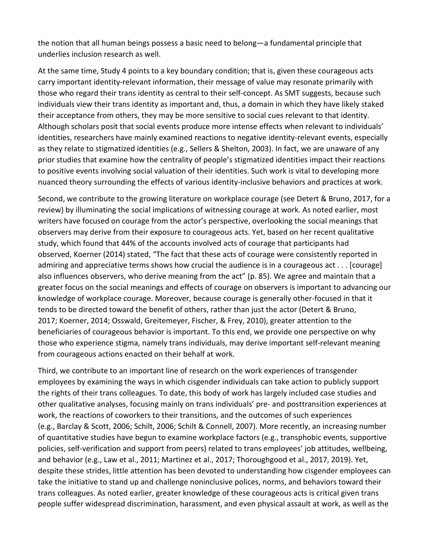the notion that all human beings possess a basic need to belong—a fundamental principle that underlies inclusion research as well.

At the same time, Study 4 points to a key boundary condition; that is, given these courageous acts carry important identity-relevant information, their message of value may resonate primarily with those who regard their trans identity as central to their self-concept. As SMT suggests, because such individuals view their trans identity as important and, thus, a domain in which they have likely staked their acceptance from others, they may be more sensitive to social cues relevant to that identity. Although scholars posit that social events produce more intense effects when relevant to individuals' identities, researchers have mainly examined reactions to negative identity-relevant events, especially as they relate to stigmatized identities (e.g., Sellers & Shelton, 2003). In fact, we are unaware of any prior studies that examine how the centrality of people's stigmatized identities impact their reactions to positive events involving social valuation of their identities. Such work is vital to developing more nuanced theory surrounding the effects of various identity-inclusive behaviors and practices at work.

Second, we contribute to the growing literature on workplace courage (see Detert & Bruno, 2017, for a review) by illuminating the social implications of witnessing courage at work. As noted earlier, most writers have focused on courage from the actor's perspective, overlooking the social meanings that observers may derive from their exposure to courageous acts. Yet, based on her recent qualitative study, which found that 44% of the accounts involved acts of courage that participants had observed, Koerner (2014) stated, "The fact that these acts of courage were consistently reported in admiring and appreciative terms shows how crucial the audience is in a courageous act . . . [courage] also influences observers, who derive meaning from the act" (p. 85). We agree and maintain that a greater focus on the social meanings and effects of courage on observers is important to advancing our knowledge of workplace courage. Moreover, because courage is generally other-focused in that it tends to be directed toward the benefit of others, rather than just the actor (Detert & Bruno, 2017; Koerner, 2014; Osswald, Greitemeyer, Fischer, & Frey, 2010), greater attention to the beneficiaries of courageous behavior is important. To this end, we provide one perspective on why those who experience stigma, namely trans individuals, may derive important self-relevant meaning from courageous actions enacted on their behalf at work.

Third, we contribute to an important line of research on the work experiences of transgender employees by examining the ways in which cisgender individuals can take action to publicly support the rights of their trans colleagues. To date, this body of work has largely included case studies and other qualitative analyses, focusing mainly on trans individuals' pre- and posttransition experiences at work, the reactions of coworkers to their transitions, and the outcomes of such experiences (e.g., Barclay & Scott, 2006; Schilt, 2006; Schilt & Connell, 2007). More recently, an increasing number of quantitative studies have begun to examine workplace factors (e.g., transphobic events, supportive policies, self-verification and support from peers) related to trans employees' job attitudes, wellbeing, and behavior (e.g., Law et al., 2011; Martinez et al., 2017; Thoroughgood et al., 2017, 2019). Yet, despite these strides, little attention has been devoted to understanding how cisgender employees can take the initiative to stand up and challenge noninclusive polices, norms, and behaviors toward their trans colleagues. As noted earlier, greater knowledge of these courageous acts is critical given trans people suffer widespread discrimination, harassment, and even physical assault at work, as well as the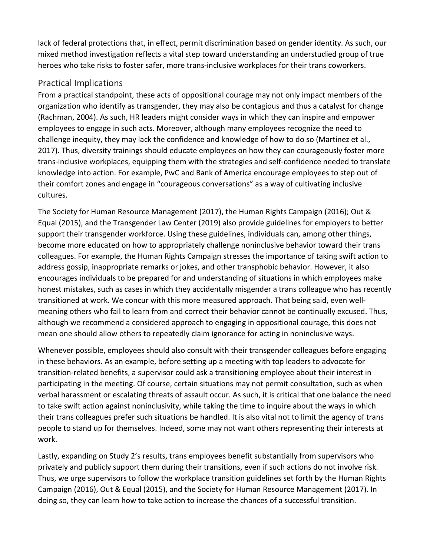lack of federal protections that, in effect, permit discrimination based on gender identity. As such, our mixed method investigation reflects a vital step toward understanding an understudied group of true heroes who take risks to foster safer, more trans-inclusive workplaces for their trans coworkers.

# Practical Implications

From a practical standpoint, these acts of oppositional courage may not only impact members of the organization who identify as transgender, they may also be contagious and thus a catalyst for change (Rachman, 2004). As such, HR leaders might consider ways in which they can inspire and empower employees to engage in such acts. Moreover, although many employees recognize the need to challenge inequity, they may lack the confidence and knowledge of how to do so (Martinez et al., 2017). Thus, diversity trainings should educate employees on how they can courageously foster more trans-inclusive workplaces, equipping them with the strategies and self-confidence needed to translate knowledge into action. For example, PwC and Bank of America encourage employees to step out of their comfort zones and engage in "courageous conversations" as a way of cultivating inclusive cultures.

The Society for Human Resource Management (2017), the Human Rights Campaign (2016); Out & Equal (2015), and the Transgender Law Center (2019) also provide guidelines for employers to better support their transgender workforce. Using these guidelines, individuals can, among other things, become more educated on how to appropriately challenge noninclusive behavior toward their trans colleagues. For example, the Human Rights Campaign stresses the importance of taking swift action to address gossip, inappropriate remarks or jokes, and other transphobic behavior. However, it also encourages individuals to be prepared for and understanding of situations in which employees make honest mistakes, such as cases in which they accidentally misgender a trans colleague who has recently transitioned at work. We concur with this more measured approach. That being said, even wellmeaning others who fail to learn from and correct their behavior cannot be continually excused. Thus, although we recommend a considered approach to engaging in oppositional courage, this does not mean one should allow others to repeatedly claim ignorance for acting in noninclusive ways.

Whenever possible, employees should also consult with their transgender colleagues before engaging in these behaviors. As an example, before setting up a meeting with top leaders to advocate for transition-related benefits, a supervisor could ask a transitioning employee about their interest in participating in the meeting. Of course, certain situations may not permit consultation, such as when verbal harassment or escalating threats of assault occur. As such, it is critical that one balance the need to take swift action against noninclusivity, while taking the time to inquire about the ways in which their trans colleagues prefer such situations be handled. It is also vital not to limit the agency of trans people to stand up for themselves. Indeed, some may not want others representing their interests at work.

Lastly, expanding on Study 2's results, trans employees benefit substantially from supervisors who privately and publicly support them during their transitions, even if such actions do not involve risk. Thus, we urge supervisors to follow the workplace transition guidelines set forth by the Human Rights Campaign (2016), Out & Equal (2015), and the Society for Human Resource Management (2017). In doing so, they can learn how to take action to increase the chances of a successful transition.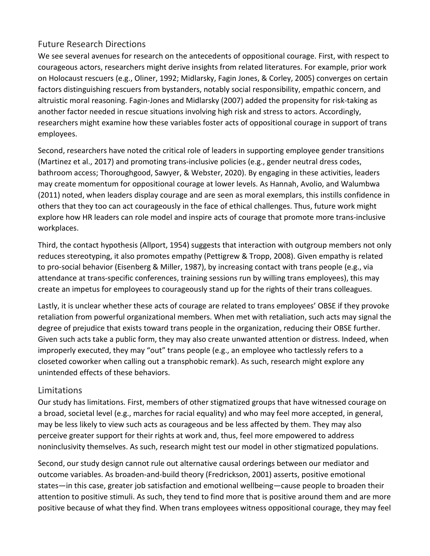# Future Research Directions

We see several avenues for research on the antecedents of oppositional courage. First, with respect to courageous actors, researchers might derive insights from related literatures. For example, prior work on Holocaust rescuers (e.g., Oliner, 1992; Midlarsky, Fagin Jones, & Corley, 2005) converges on certain factors distinguishing rescuers from bystanders, notably social responsibility, empathic concern, and altruistic moral reasoning. Fagin-Jones and Midlarsky (2007) added the propensity for risk-taking as another factor needed in rescue situations involving high risk and stress to actors. Accordingly, researchers might examine how these variables foster acts of oppositional courage in support of trans employees.

Second, researchers have noted the critical role of leaders in supporting employee gender transitions (Martinez et al., 2017) and promoting trans-inclusive policies (e.g., gender neutral dress codes, bathroom access; Thoroughgood, Sawyer, & Webster, 2020). By engaging in these activities, leaders may create momentum for oppositional courage at lower levels. As Hannah, Avolio, and Walumbwa (2011) noted, when leaders display courage and are seen as moral exemplars, this instills confidence in others that they too can act courageously in the face of ethical challenges. Thus, future work might explore how HR leaders can role model and inspire acts of courage that promote more trans-inclusive workplaces.

Third, the contact hypothesis (Allport, 1954) suggests that interaction with outgroup members not only reduces stereotyping, it also promotes empathy (Pettigrew & Tropp, 2008). Given empathy is related to pro-social behavior (Eisenberg & Miller, 1987), by increasing contact with trans people (e.g., via attendance at trans-specific conferences, training sessions run by willing trans employees), this may create an impetus for employees to courageously stand up for the rights of their trans colleagues.

Lastly, it is unclear whether these acts of courage are related to trans employees' OBSE if they provoke retaliation from powerful organizational members. When met with retaliation, such acts may signal the degree of prejudice that exists toward trans people in the organization, reducing their OBSE further. Given such acts take a public form, they may also create unwanted attention or distress. Indeed, when improperly executed, they may "out" trans people (e.g., an employee who tactlessly refers to a closeted coworker when calling out a transphobic remark). As such, research might explore any unintended effects of these behaviors.

### Limitations

Our study has limitations. First, members of other stigmatized groups that have witnessed courage on a broad, societal level (e.g., marches for racial equality) and who may feel more accepted, in general, may be less likely to view such acts as courageous and be less affected by them. They may also perceive greater support for their rights at work and, thus, feel more empowered to address noninclusivity themselves. As such, research might test our model in other stigmatized populations.

Second, our study design cannot rule out alternative causal orderings between our mediator and outcome variables. As broaden-and-build theory (Fredrickson, 2001) asserts, positive emotional states—in this case, greater job satisfaction and emotional wellbeing—cause people to broaden their attention to positive stimuli. As such, they tend to find more that is positive around them and are more positive because of what they find. When trans employees witness oppositional courage, they may feel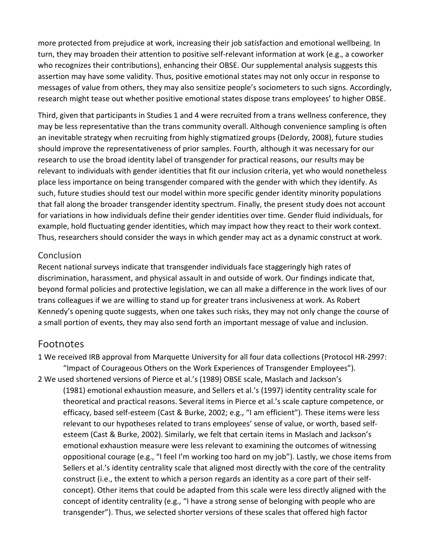more protected from prejudice at work, increasing their job satisfaction and emotional wellbeing. In turn, they may broaden their attention to positive self-relevant information at work (e.g., a coworker who recognizes their contributions), enhancing their OBSE. Our supplemental analysis suggests this assertion may have some validity. Thus, positive emotional states may not only occur in response to messages of value from others, they may also sensitize people's sociometers to such signs. Accordingly, research might tease out whether positive emotional states dispose trans employees' to higher OBSE.

Third, given that participants in Studies 1 and 4 were recruited from a trans wellness conference, they may be less representative than the trans community overall. Although convenience sampling is often an inevitable strategy when recruiting from highly stigmatized groups (DeJordy, 2008), future studies should improve the representativeness of prior samples. Fourth, although it was necessary for our research to use the broad identity label of transgender for practical reasons, our results may be relevant to individuals with gender identities that fit our inclusion criteria, yet who would nonetheless place less importance on being transgender compared with the gender with which they identify. As such, future studies should test our model within more specific gender identity minority populations that fall along the broader transgender identity spectrum. Finally, the present study does not account for variations in how individuals define their gender identities over time. Gender fluid individuals, for example, hold fluctuating gender identities, which may impact how they react to their work context. Thus, researchers should consider the ways in which gender may act as a dynamic construct at work.

### Conclusion

Recent national surveys indicate that transgender individuals face staggeringly high rates of discrimination, harassment, and physical assault in and outside of work. Our findings indicate that, beyond formal policies and protective legislation, we can all make a difference in the work lives of our trans colleagues if we are willing to stand up for greater trans inclusiveness at work. As Robert Kennedy's opening quote suggests, when one takes such risks, they may not only change the course of a small portion of events, they may also send forth an important message of value and inclusion.

# Footnotes

- 1 We received IRB approval from Marquette University for all four data collections (Protocol HR-2997: "Impact of Courageous Others on the Work Experiences of Transgender Employees").
- 2 We used shortened versions of Pierce et al.'s (1989) OBSE scale, Maslach and Jackson's

(1981) emotional exhaustion measure, and Sellers et al.'s (1997) identity centrality scale for theoretical and practical reasons. Several items in Pierce et al.'s scale capture competence, or efficacy, based self-esteem (Cast & Burke, 2002; e.g., "I am efficient"). These items were less relevant to our hypotheses related to trans employees' sense of value, or worth, based selfesteem (Cast & Burke, 2002). Similarly, we felt that certain items in Maslach and Jackson's emotional exhaustion measure were less relevant to examining the outcomes of witnessing oppositional courage (e.g., "I feel I'm working too hard on my job"). Lastly, we chose items from Sellers et al.'s identity centrality scale that aligned most directly with the core of the centrality construct (i.e., the extent to which a person regards an identity as a core part of their selfconcept). Other items that could be adapted from this scale were less directly aligned with the concept of identity centrality (e.g., "I have a strong sense of belonging with people who are transgender"). Thus, we selected shorter versions of these scales that offered high factor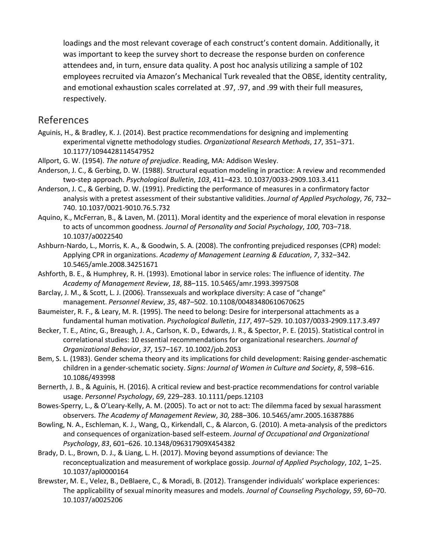loadings and the most relevant coverage of each construct's content domain. Additionally, it was important to keep the survey short to decrease the response burden on conference attendees and, in turn, ensure data quality. A post hoc analysis utilizing a sample of 102 employees recruited via Amazon's Mechanical Turk revealed that the OBSE, identity centrality, and emotional exhaustion scales correlated at .97, .97, and .99 with their full measures, respectively.

### [References](https://0-web-b-ebscohost-com.libus.csd.mu.edu/ehost/detail/detail?vid=4&sid=1fdb1c42-249a-49f8-ab7b-30f2f428e538%40sessionmgr101&bdata=JnNpdGU9ZWhvc3QtbGl2ZSZzY29wZT1zaXRl#toc)

- Aguinis, H., & Bradley, K. J. (2014). Best practice recommendations for designing and implementing experimental vignette methodology studies. *Organizational Research Methods*, *17*, 351–371. 10.1177/1094428114547952
- Allport, G. W. (1954). *The nature of prejudice*. Reading, MA: Addison Wesley.
- Anderson, J. C., & Gerbing, D. W. (1988). Structural equation modeling in practice: A review and recommended two-step approach. *Psychological Bulletin*, *103*, 411–423. 10.1037/0033-2909.103.3.411
- Anderson, J. C., & Gerbing, D. W. (1991). Predicting the performance of measures in a confirmatory factor analysis with a pretest assessment of their substantive validities. *Journal of Applied Psychology*, *76*, 732– 740. 10.1037/0021-9010.76.5.732
- Aquino, K., McFerran, B., & Laven, M. (2011). Moral identity and the experience of moral elevation in response to acts of uncommon goodness. *Journal of Personality and Social Psychology*, *100*, 703–718. 10.1037/a0022540
- Ashburn-Nardo, L., Morris, K. A., & Goodwin, S. A. (2008). The confronting prejudiced responses (CPR) model: Applying CPR in organizations. *Academy of Management Learning & Education*, *7*, 332–342. 10.5465/amle.2008.34251671
- Ashforth, B. E., & Humphrey, R. H. (1993). Emotional labor in service roles: The influence of identity. *The Academy of Management Review*, *18*, 88–115. 10.5465/amr.1993.3997508
- Barclay, J. M., & Scott, L. J. (2006). Transsexuals and workplace diversity: A case of "change" management. *Personnel Review*, *35*, 487–502. 10.1108/00483480610670625
- Baumeister, R. F., & Leary, M. R. (1995). The need to belong: Desire for interpersonal attachments as a fundamental human motivation. *Psychological Bulletin*, *117*, 497–529. 10.1037/0033-2909.117.3.497
- Becker, T. E., Atinc, G., Breaugh, J. A., Carlson, K. D., Edwards, J. R., & Spector, P. E. (2015). Statistical control in correlational studies: 10 essential recommendations for organizational researchers. *Journal of Organizational Behavior*, *37*, 157–167. 10.1002/job.2053
- Bem, S. L. (1983). Gender schema theory and its implications for child development: Raising gender-aschematic children in a gender-schematic society. *Signs: Journal of Women in Culture and Society*, *8*, 598–616. 10.1086/493998
- Bernerth, J. B., & Aguinis, H. (2016). A critical review and best-practice recommendations for control variable usage. *Personnel Psychology*, *69*, 229–283. 10.1111/peps.12103
- Bowes-Sperry, L., & O'Leary-Kelly, A. M. (2005). To act or not to act: The dilemma faced by sexual harassment observers. *The Academy of Management Review*, *30*, 288–306. 10.5465/amr.2005.16387886
- Bowling, N. A., Eschleman, K. J., Wang, Q., Kirkendall, C., & Alarcon, G. (2010). A meta-analysis of the predictors and consequences of organization-based self-esteem. *Journal of Occupational and Organizational Psychology*, *83*, 601–626. 10.1348/096317909X454382
- Brady, D. L., Brown, D. J., & Liang, L. H. (2017). Moving beyond assumptions of deviance: The reconceptualization and measurement of workplace gossip. *Journal of Applied Psychology*, *102*, 1–25. 10.1037/apl0000164
- Brewster, M. E., Velez, B., DeBlaere, C., & Moradi, B. (2012). Transgender individuals' workplace experiences: The applicability of sexual minority measures and models. *Journal of Counseling Psychology*, *59*, 60–70. 10.1037/a0025206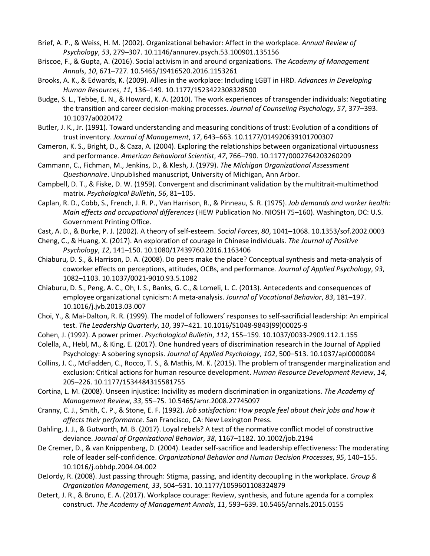- Brief, A. P., & Weiss, H. M. (2002). Organizational behavior: Affect in the workplace. *Annual Review of Psychology*, *53*, 279–307. 10.1146/annurev.psych.53.100901.135156
- Briscoe, F., & Gupta, A. (2016). Social activism in and around organizations. *The Academy of Management Annals*, *10*, 671–727. 10.5465/19416520.2016.1153261
- Brooks, A. K., & Edwards, K. (2009). Allies in the workplace: Including LGBT in HRD. *Advances in Developing Human Resources*, *11*, 136–149. 10.1177/1523422308328500
- Budge, S. L., Tebbe, E. N., & Howard, K. A. (2010). The work experiences of transgender individuals: Negotiating the transition and career decision-making processes. *Journal of Counseling Psychology*, *57*, 377–393. 10.1037/a0020472
- Butler, J. K., Jr. (1991). Toward understanding and measuring conditions of trust: Evolution of a conditions of trust inventory. *Journal of Management*, *17*, 643–663. 10.1177/014920639101700307
- Cameron, K. S., Bright, D., & Caza, A. (2004). Exploring the relationships between organizational virtuousness and performance. *American Behavioral Scientist*, *47*, 766–790. 10.1177/0002764203260209
- Cammann, C., Fichman, M., Jenkins, D., & Klesh, J. (1979). *The Michigan Organizational Assessment Questionnaire*. Unpublished manuscript, University of Michigan, Ann Arbor.
- Campbell, D. T., & Fiske, D. W. (1959). Convergent and discriminant validation by the multitrait-multimethod matrix. *Psychological Bulletin*, *56*, 81–105.
- Caplan, R. D., Cobb, S., French, J. R. P., Van Harrison, R., & Pinneau, S. R. (1975). *Job demands and worker health: Main effects and occupational differences* (HEW Publication No. NIOSH 75–160). Washington, DC: U.S. Government Printing Office.
- Cast, A. D., & Burke, P. J. (2002). A theory of self-esteem. *Social Forces*, *80*, 1041–1068. 10.1353/sof.2002.0003
- Cheng, C., & Huang, X. (2017). An exploration of courage in Chinese individuals. *The Journal of Positive Psychology*, *12*, 141–150. 10.1080/17439760.2016.1163406
- Chiaburu, D. S., & Harrison, D. A. (2008). Do peers make the place? Conceptual synthesis and meta-analysis of coworker effects on perceptions, attitudes, OCBs, and performance. *Journal of Applied Psychology*, *93*, 1082–1103. 10.1037/0021-9010.93.5.1082
- Chiaburu, D. S., Peng, A. C., Oh, I. S., Banks, G. C., & Lomeli, L. C. (2013). Antecedents and consequences of employee organizational cynicism: A meta-analysis. *Journal of Vocational Behavior*, *83*, 181–197. 10.1016/j.jvb.2013.03.007
- Choi, Y., & Mai-Dalton, R. R. (1999). The model of followers' responses to self-sacrificial leadership: An empirical test. *The Leadership Quarterly*, *10*, 397–421. 10.1016/S1048-9843(99)00025-9
- Cohen, J. (1992). A power primer. *Psychological Bulletin*, *112*, 155–159. 10.1037/0033-2909.112.1.155
- Colella, A., Hebl, M., & King, E. (2017). One hundred years of discrimination research in the Journal of Applied Psychology: A sobering synopsis. *Journal of Applied Psychology*, *102*, 500–513. 10.1037/apl0000084
- Collins, J. C., McFadden, C., Rocco, T. S., & Mathis, M. K. (2015). The problem of transgender marginalization and exclusion: Critical actions for human resource development. *Human Resource Development Review*, *14*, 205–226. 10.1177/1534484315581755
- Cortina, L. M. (2008). Unseen injustice: Incivility as modern discrimination in organizations. *The Academy of Management Review*, *33*, 55–75. 10.5465/amr.2008.27745097
- Cranny, C. J., Smith, C. P., & Stone, E. F. (1992). *Job satisfaction: How people feel about their jobs and how it affects their performance*. San Francisco, CA: New Lexington Press.
- Dahling, J. J., & Gutworth, M. B. (2017). Loyal rebels? A test of the normative conflict model of constructive deviance. *Journal of Organizational Behavior*, *38*, 1167–1182. 10.1002/job.2194
- De Cremer, D., & van Knippenberg, D. (2004). Leader self-sacrifice and leadership effectiveness: The moderating role of leader self-confidence. *Organizational Behavior and Human Decision Processes*, *95*, 140–155. 10.1016/j.obhdp.2004.04.002
- DeJordy, R. (2008). Just passing through: Stigma, passing, and identity decoupling in the workplace. *Group & Organization Management*, *33*, 504–531. 10.1177/1059601108324879
- Detert, J. R., & Bruno, E. A. (2017). Workplace courage: Review, synthesis, and future agenda for a complex construct. *The Academy of Management Annals*, *11*, 593–639. 10.5465/annals.2015.0155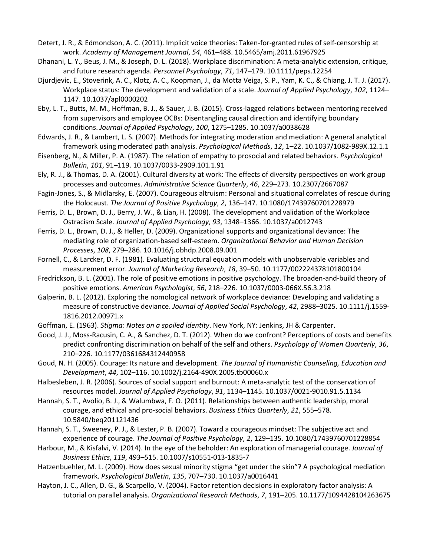Detert, J. R., & Edmondson, A. C. (2011). Implicit voice theories: Taken-for-granted rules of self-censorship at work. *Academy of Management Journal*, *54*, 461–488. 10.5465/amj.2011.61967925

- Dhanani, L. Y., Beus, J. M., & Joseph, D. L. (2018). Workplace discrimination: A meta-analytic extension, critique, and future research agenda. *Personnel Psychology*, *71*, 147–179. 10.1111/peps.12254
- Djurdjevic, E., Stoverink, A. C., Klotz, A. C., Koopman, J., da Motta Veiga, S. P., Yam, K. C., & Chiang, J. T. J. (2017). Workplace status: The development and validation of a scale. *Journal of Applied Psychology*, *102*, 1124– 1147. 10.1037/apl0000202
- Eby, L. T., Butts, M. M., Hoffman, B. J., & Sauer, J. B. (2015). Cross-lagged relations between mentoring received from supervisors and employee OCBs: Disentangling causal direction and identifying boundary conditions. *Journal of Applied Psychology*, *100*, 1275–1285. 10.1037/a0038628
- Edwards, J. R., & Lambert, L. S. (2007). Methods for integrating moderation and mediation: A general analytical framework using moderated path analysis. *Psychological Methods*, *12*, 1–22. 10.1037/1082-989X.12.1.1
- Eisenberg, N., & Miller, P. A. (1987). The relation of empathy to prosocial and related behaviors. *Psychological Bulletin*, *101*, 91–119. 10.1037/0033-2909.101.1.91
- Ely, R. J., & Thomas, D. A. (2001). Cultural diversity at work: The effects of diversity perspectives on work group processes and outcomes. *Administrative Science Quarterly*, *46*, 229–273. 10.2307/2667087
- Fagin-Jones, S., & Midlarsky, E. (2007). Courageous altruism: Personal and situational correlates of rescue during the Holocaust. *The Journal of Positive Psychology*, *2*, 136–147. 10.1080/17439760701228979
- Ferris, D. L., Brown, D. J., Berry, J. W., & Lian, H. (2008). The development and validation of the Workplace Ostracism Scale. *Journal of Applied Psychology*, *93*, 1348–1366. 10.1037/a0012743
- Ferris, D. L., Brown, D. J., & Heller, D. (2009). Organizational supports and organizational deviance: The mediating role of organization-based self-esteem. *Organizational Behavior and Human Decision Processes*, *108*, 279–286. 10.1016/j.obhdp.2008.09.001
- Fornell, C., & Larcker, D. F. (1981). Evaluating structural equation models with unobservable variables and measurement error. *Journal of Marketing Research*, *18*, 39–50. 10.1177/002224378101800104
- Fredrickson, B. L. (2001). The role of positive emotions in positive psychology. The broaden-and-build theory of positive emotions. *American Psychologist*, *56*, 218–226. 10.1037/0003-066X.56.3.218
- Galperin, B. L. (2012). Exploring the nomological network of workplace deviance: Developing and validating a measure of constructive deviance. *Journal of Applied Social Psychology*, *42*, 2988–3025. 10.1111/j.1559- 1816.2012.00971.x
- Goffman, E. (1963). *Stigma: Notes on a spoiled identity*. New York, NY: Jenkins, JH & Carpenter.
- Good, J. J., Moss-Racusin, C. A., & Sanchez, D. T. (2012). When do we confront? Perceptions of costs and benefits predict confronting discrimination on behalf of the self and others. *Psychology of Women Quarterly*, *36*, 210–226. 10.1177/0361684312440958
- Goud, N. H. (2005). Courage: Its nature and development. *The Journal of Humanistic Counseling, Education and Development*, *44*, 102–116. 10.1002/j.2164-490X.2005.tb00060.x
- Halbesleben, J. R. (2006). Sources of social support and burnout: A meta-analytic test of the conservation of resources model. *Journal of Applied Psychology*, *91*, 1134–1145. 10.1037/0021-9010.91.5.1134
- Hannah, S. T., Avolio, B. J., & Walumbwa, F. O. (2011). Relationships between authentic leadership, moral courage, and ethical and pro-social behaviors. *Business Ethics Quarterly*, *21*, 555–578. 10.5840/beq201121436
- Hannah, S. T., Sweeney, P. J., & Lester, P. B. (2007). Toward a courageous mindset: The subjective act and experience of courage. *The Journal of Positive Psychology*, *2*, 129–135. 10.1080/17439760701228854
- Harbour, M., & Kisfalvi, V. (2014). In the eye of the beholder: An exploration of managerial courage. *Journal of Business Ethics*, *119*, 493–515. 10.1007/s10551-013-1835-7
- Hatzenbuehler, M. L. (2009). How does sexual minority stigma "get under the skin"? A psychological mediation framework. *Psychological Bulletin*, *135*, 707–730. 10.1037/a0016441
- Hayton, J. C., Allen, D. G., & Scarpello, V. (2004). Factor retention decisions in exploratory factor analysis: A tutorial on parallel analysis. *Organizational Research Methods*, *7*, 191–205. 10.1177/1094428104263675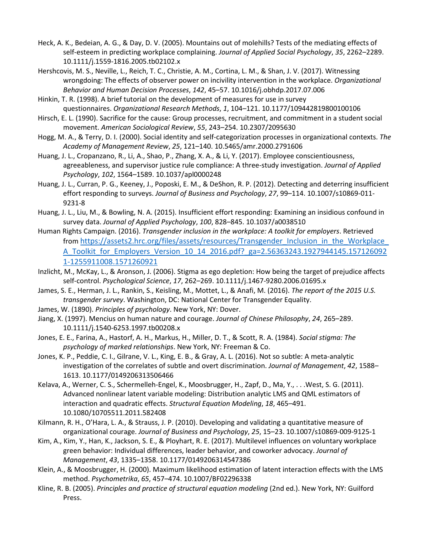- Heck, A. K., Bedeian, A. G., & Day, D. V. (2005). Mountains out of molehills? Tests of the mediating effects of self-esteem in predicting workplace complaining. *Journal of Applied Social Psychology*, *35*, 2262–2289. 10.1111/j.1559-1816.2005.tb02102.x
- Hershcovis, M. S., Neville, L., Reich, T. C., Christie, A. M., Cortina, L. M., & Shan, J. V. (2017). Witnessing wrongdoing: The effects of observer power on incivility intervention in the workplace. *Organizational Behavior and Human Decision Processes*, *142*, 45–57. 10.1016/j.obhdp.2017.07.006
- Hinkin, T. R. (1998). A brief tutorial on the development of measures for use in survey questionnaires. *Organizational Research Methods*, *1*, 104–121. 10.1177/109442819800100106
- Hirsch, E. L. (1990). Sacrifice for the cause: Group processes, recruitment, and commitment in a student social movement. *American Sociological Review*, *55*, 243–254. 10.2307/2095630
- Hogg, M. A., & Terry, D. I. (2000). Social identity and self-categorization processes in organizational contexts. *The Academy of Management Review*, *25*, 121–140. 10.5465/amr.2000.2791606
- Huang, J. L., Cropanzano, R., Li, A., Shao, P., Zhang, X. A., & Li, Y. (2017). Employee conscientiousness, agreeableness, and supervisor justice rule compliance: A three-study investigation. *Journal of Applied Psychology*, *102*, 1564–1589. 10.1037/apl0000248
- Huang, J. L., Curran, P. G., Keeney, J., Poposki, E. M., & DeShon, R. P. (2012). Detecting and deterring insufficient effort responding to surveys. *Journal of Business and Psychology*, *27*, 99–114. 10.1007/s10869-011- 9231-8
- Huang, J. L., Liu, M., & Bowling, N. A. (2015). Insufficient effort responding: Examining an insidious confound in survey data. *Journal of Applied Psychology*, *100*, 828–845. 10.1037/a0038510
- Human Rights Campaign. (2016). *Transgender inclusion in the workplace: A toolkit for employers*. Retrieved from https://assets2.hrc.org/files/assets/resources/Transgender\_Inclusion\_in\_the\_Workplace A Toolkit for Employers Version 10 14 2016.pdf? ga=2.56363243.1927944145.157126092 [1-1255911008.1571260921](https://assets2.hrc.org/files/assets/resources/Transgender_Inclusion_in_the_Workplace_A_Toolkit_for_Employers_Version_10_14_2016.pdf?_ga=2.56363243.1927944145.157126092%201-1255911008.1571260921)
- Inzlicht, M., McKay, L., & Aronson, J. (2006). Stigma as ego depletion: How being the target of prejudice affects self-control. *Psychological Science*, *17*, 262–269. 10.1111/j.1467-9280.2006.01695.x
- James, S. E., Herman, J. L., Rankin, S., Keisling, M., Mottet, L., & Anafi, M. (2016). *The report of the 2015 U.S. transgender survey*. Washington, DC: National Center for Transgender Equality.
- James, W. (1890). *Principles of psychology*. New York, NY: Dover.
- Jiang, X. (1997). Mencius on human nature and courage. *Journal of Chinese Philosophy*, *24*, 265–289. 10.1111/j.1540-6253.1997.tb00208.x
- Jones, E. E., Farina, A., Hastorf, A. H., Markus, H., Miller, D. T., & Scott, R. A. (1984). *Social stigma: The psychology of marked relationships*. New York, NY: Freeman & Co.
- Jones, K. P., Peddie, C. I., Gilrane, V. L., King, E. B., & Gray, A. L. (2016). Not so subtle: A meta-analytic investigation of the correlates of subtle and overt discrimination. *Journal of Management*, *42*, 1588– 1613. 10.1177/0149206313506466
- Kelava, A., Werner, C. S., Schermelleh-Engel, K., Moosbrugger, H., Zapf, D., Ma, Y., . . .West, S. G. (2011). Advanced nonlinear latent variable modeling: Distribution analytic LMS and QML estimators of interaction and quadratic effects. *Structural Equation Modeling*, *18*, 465–491. 10.1080/10705511.2011.582408
- Kilmann, R. H., O'Hara, L. A., & Strauss, J. P. (2010). Developing and validating a quantitative measure of organizational courage. *Journal of Business and Psychology*, *25*, 15–23. 10.1007/s10869-009-9125-1
- Kim, A., Kim, Y., Han, K., Jackson, S. E., & Ployhart, R. E. (2017). Multilevel influences on voluntary workplace green behavior: Individual differences, leader behavior, and coworker advocacy. *Journal of Management*, *43*, 1335–1358. 10.1177/0149206314547386
- Klein, A., & Moosbrugger, H. (2000). Maximum likelihood estimation of latent interaction effects with the LMS method. *Psychometrika*, *65*, 457–474. 10.1007/BF02296338
- Kline, R. B. (2005). *Principles and practice of structural equation modeling* (2nd ed.). New York, NY: Guilford Press.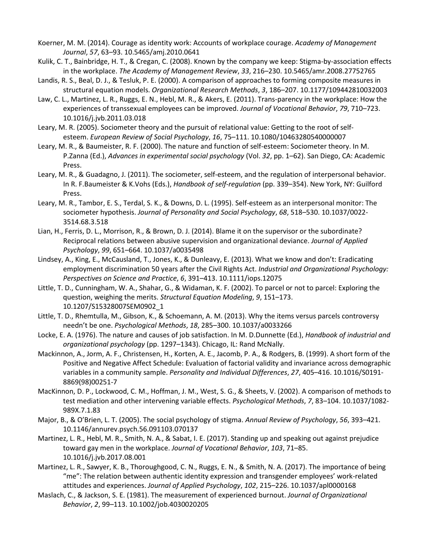- Koerner, M. M. (2014). Courage as identity work: Accounts of workplace courage. *Academy of Management Journal*, *57*, 63–93. 10.5465/amj.2010.0641
- Kulik, C. T., Bainbridge, H. T., & Cregan, C. (2008). Known by the company we keep: Stigma-by-association effects in the workplace. *The Academy of Management Review*, *33*, 216–230. 10.5465/amr.2008.27752765
- Landis, R. S., Beal, D. J., & Tesluk, P. E. (2000). A comparison of approaches to forming composite measures in structural equation models. *Organizational Research Methods*, *3*, 186–207. 10.1177/109442810032003
- Law, C. L., Martinez, L. R., Ruggs, E. N., Hebl, M. R., & Akers, E. (2011). Trans-parency in the workplace: How the experiences of transsexual employees can be improved. *Journal of Vocational Behavior*, *79*, 710–723. 10.1016/j.jvb.2011.03.018
- Leary, M. R. (2005). Sociometer theory and the pursuit of relational value: Getting to the root of selfesteem. *European Review of Social Psychology*, *16*, 75–111. 10.1080/10463280540000007
- Leary, M. R., & Baumeister, R. F. (2000). The nature and function of self-esteem: Sociometer theory. In M. P.Zanna (Ed.), *Advances in experimental social psychology* (Vol. *32*, pp. 1–62). San Diego, CA: Academic Press.
- Leary, M. R., & Guadagno, J. (2011). The sociometer, self-esteem, and the regulation of interpersonal behavior. In R. F.Baumeister & K.Vohs (Eds.), *Handbook of self-regulation* (pp. 339–354). New York, NY: Guilford Press.
- Leary, M. R., Tambor, E. S., Terdal, S. K., & Downs, D. L. (1995). Self-esteem as an interpersonal monitor: The sociometer hypothesis. *Journal of Personality and Social Psychology*, *68*, 518–530. 10.1037/0022- 3514.68.3.518
- Lian, H., Ferris, D. L., Morrison, R., & Brown, D. J. (2014). Blame it on the supervisor or the subordinate? Reciprocal relations between abusive supervision and organizational deviance. *Journal of Applied Psychology*, *99*, 651–664. 10.1037/a0035498
- Lindsey, A., King, E., McCausland, T., Jones, K., & Dunleavy, E. (2013). What we know and don't: Eradicating employment discrimination 50 years after the Civil Rights Act. *Industrial and Organizational Psychology: Perspectives on Science and Practice*, *6*, 391–413. 10.1111/iops.12075
- Little, T. D., Cunningham, W. A., Shahar, G., & Widaman, K. F. (2002). To parcel or not to parcel: Exploring the question, weighing the merits. *Structural Equation Modeling*, *9*, 151–173. 10.1207/S15328007SEM0902\_1
- Little, T. D., Rhemtulla, M., Gibson, K., & Schoemann, A. M. (2013). Why the items versus parcels controversy needn't be one. *Psychological Methods*, *18*, 285–300. 10.1037/a0033266
- Locke, E. A. (1976). The nature and causes of job satisfaction. In M. D.Dunnette (Ed.), *Handbook of industrial and organizational psychology* (pp. 1297–1343). Chicago, IL: Rand McNally.
- Mackinnon, A., Jorm, A. F., Christensen, H., Korten, A. E., Jacomb, P. A., & Rodgers, B. (1999). A short form of the Positive and Negative Affect Schedule: Evaluation of factorial validity and invariance across demographic variables in a community sample. *Personality and Individual Differences*, *27*, 405–416. 10.1016/S0191- 8869(98)00251-7
- MacKinnon, D. P., Lockwood, C. M., Hoffman, J. M., West, S. G., & Sheets, V. (2002). A comparison of methods to test mediation and other intervening variable effects. *Psychological Methods*, *7*, 83–104. 10.1037/1082- 989X.7.1.83
- Major, B., & O'Brien, L. T. (2005). The social psychology of stigma. *Annual Review of Psychology*, *56*, 393–421. 10.1146/annurev.psych.56.091103.070137
- Martinez, L. R., Hebl, M. R., Smith, N. A., & Sabat, I. E. (2017). Standing up and speaking out against prejudice toward gay men in the workplace. *Journal of Vocational Behavior*, *103*, 71–85. 10.1016/j.jvb.2017.08.001
- Martinez, L. R., Sawyer, K. B., Thoroughgood, C. N., Ruggs, E. N., & Smith, N. A. (2017). The importance of being "me": The relation between authentic identity expression and transgender employees' work-related attitudes and experiences. *Journal of Applied Psychology*, *102*, 215–226. 10.1037/apl0000168
- Maslach, C., & Jackson, S. E. (1981). The measurement of experienced burnout. *Journal of Organizational Behavior*, *2*, 99–113. 10.1002/job.4030020205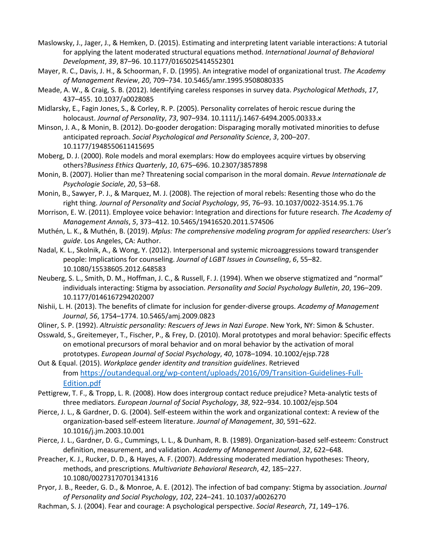- Maslowsky, J., Jager, J., & Hemken, D. (2015). Estimating and interpreting latent variable interactions: A tutorial for applying the latent moderated structural equations method. *International Journal of Behavioral Development*, *39*, 87–96. 10.1177/0165025414552301
- Mayer, R. C., Davis, J. H., & Schoorman, F. D. (1995). An integrative model of organizational trust. *The Academy of Management Review*, *20*, 709–734. 10.5465/amr.1995.9508080335
- Meade, A. W., & Craig, S. B. (2012). Identifying careless responses in survey data. *Psychological Methods*, *17*, 437–455. 10.1037/a0028085
- Midlarsky, E., Fagin Jones, S., & Corley, R. P. (2005). Personality correlates of heroic rescue during the holocaust. *Journal of Personality*, *73*, 907–934. 10.1111/j.1467-6494.2005.00333.x
- Minson, J. A., & Monin, B. (2012). Do-gooder derogation: Disparaging morally motivated minorities to defuse anticipated reproach. *Social Psychological and Personality Science*, *3*, 200–207. 10.1177/1948550611415695
- Moberg, D. J. (2000). Role models and moral exemplars: How do employees acquire virtues by observing others?*Business Ethics Quarterly*, *10*, 675–696. 10.2307/3857898
- Monin, B. (2007). Holier than me? Threatening social comparison in the moral domain. *Revue Internationale de Psychologie Sociale*, *20*, 53–68.
- Monin, B., Sawyer, P. J., & Marquez, M. J. (2008). The rejection of moral rebels: Resenting those who do the right thing. *Journal of Personality and Social Psychology*, *95*, 76–93. 10.1037/0022-3514.95.1.76
- Morrison, E. W. (2011). Employee voice behavior: Integration and directions for future research. *The Academy of Management Annals*, *5*, 373–412. 10.5465/19416520.2011.574506
- Muthén, L. K., & Muthén, B. (2019). *Mplus: The comprehensive modeling program for applied researchers: User's guide*. Los Angeles, CA: Author.
- Nadal, K. L., Skolnik, A., & Wong, Y. (2012). Interpersonal and systemic microaggressions toward transgender people: Implications for counseling. *Journal of LGBT Issues in Counseling*, *6*, 55–82. 10.1080/15538605.2012.648583
- Neuberg, S. L., Smith, D. M., Hoffman, J. C., & Russell, F. J. (1994). When we observe stigmatized and "normal" individuals interacting: Stigma by association. *Personality and Social Psychology Bulletin*, *20*, 196–209. 10.1177/0146167294202007
- Nishii, L. H. (2013). The benefits of climate for inclusion for gender-diverse groups. *Academy of Management Journal*, *56*, 1754–1774. 10.5465/amj.2009.0823
- Oliner, S. P. (1992). *Altruistic personality: Rescuers of Jews in Nazi Europe*. New York, NY: Simon & Schuster.
- Osswald, S., Greitemeyer, T., Fischer, P., & Frey, D. (2010). Moral prototypes and moral behavior: Specific effects on emotional precursors of moral behavior and on moral behavior by the activation of moral prototypes. *European Journal of Social Psychology*, *40*, 1078–1094. 10.1002/ejsp.728
- Out & Equal. (2015). *Workplace gender identity and transition guidelines*. Retrieved from [https://outandequal.org/wp-content/uploads/2016/09/Transition-Guidelines-Full-](https://outandequal.org/wp-content/uploads/2016/09/Transition-Guidelines-Full-Edition.pdf)[Edition.pdf](https://outandequal.org/wp-content/uploads/2016/09/Transition-Guidelines-Full-Edition.pdf)
- Pettigrew, T. F., & Tropp, L. R. (2008). How does intergroup contact reduce prejudice? Meta-analytic tests of three mediators. *European Journal of Social Psychology*, *38*, 922–934. 10.1002/ejsp.504
- Pierce, J. L., & Gardner, D. G. (2004). Self-esteem within the work and organizational context: A review of the organization-based self-esteem literature. *Journal of Management*, *30*, 591–622. 10.1016/j.jm.2003.10.001
- Pierce, J. L., Gardner, D. G., Cummings, L. L., & Dunham, R. B. (1989). Organization-based self-esteem: Construct definition, measurement, and validation. *Academy of Management Journal*, *32*, 622–648.
- Preacher, K. J., Rucker, D. D., & Hayes, A. F. (2007). Addressing moderated mediation hypotheses: Theory, methods, and prescriptions. *Multivariate Behavioral Research*, *42*, 185–227. 10.1080/00273170701341316
- Pryor, J. B., Reeder, G. D., & Monroe, A. E. (2012). The infection of bad company: Stigma by association. *Journal of Personality and Social Psychology*, *102*, 224–241. 10.1037/a0026270
- Rachman, S. J. (2004). Fear and courage: A psychological perspective. *Social Research*, *71*, 149–176.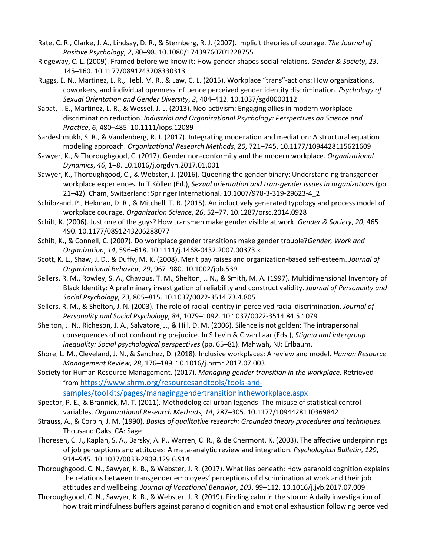- Rate, C. R., Clarke, J. A., Lindsay, D. R., & Sternberg, R. J. (2007). Implicit theories of courage. *The Journal of Positive Psychology*, *2*, 80–98. 10.1080/17439760701228755
- Ridgeway, C. L. (2009). Framed before we know it: How gender shapes social relations. *Gender & Society*, *23*, 145–160. 10.1177/0891243208330313
- Ruggs, E. N., Martinez, L. R., Hebl, M. R., & Law, C. L. (2015). Workplace "trans"-actions: How organizations, coworkers, and individual openness influence perceived gender identity discrimination. *Psychology of Sexual Orientation and Gender Diversity*, *2*, 404–412. 10.1037/sgd0000112
- Sabat, I. E., Martinez, L. R., & Wessel, J. L. (2013). Neo-activism: Engaging allies in modern workplace discrimination reduction. *Industrial and Organizational Psychology: Perspectives on Science and Practice*, *6*, 480–485. 10.1111/iops.12089
- Sardeshmukh, S. R., & Vandenberg, R. J. (2017). Integrating moderation and mediation: A structural equation modeling approach. *Organizational Research Methods*, *20*, 721–745. 10.1177/1094428115621609
- Sawyer, K., & Thoroughgood, C. (2017). Gender non-conformity and the modern workplace. *Organizational Dynamics*, *46*, 1–8. 10.1016/j.orgdyn.2017.01.001
- Sawyer, K., Thoroughgood, C., & Webster, J. (2016). Queering the gender binary: Understanding transgender workplace experiences. In T.Köllen (Ed.), *Sexual orientation and transgender issues in organizations* (pp. 21–42). Cham, Switzerland: Springer International. 10.1007/978-3-319-29623-4\_2
- Schilpzand, P., Hekman, D. R., & Mitchell, T. R. (2015). An inductively generated typology and process model of workplace courage. *Organization Science*, *26*, 52–77. 10.1287/orsc.2014.0928
- Schilt, K. (2006). Just one of the guys? How transmen make gender visible at work. *Gender & Society*, *20*, 465– 490. 10.1177/0891243206288077
- Schilt, K., & Connell, C. (2007). Do workplace gender transitions make gender trouble?*Gender, Work and Organization*, *14*, 596–618. 10.1111/j.1468-0432.2007.00373.x
- Scott, K. L., Shaw, J. D., & Duffy, M. K. (2008). Merit pay raises and organization-based self-esteem. *Journal of Organizational Behavior*, *29*, 967–980. 10.1002/job.539
- Sellers, R. M., Rowley, S. A., Chavous, T. M., Shelton, J. N., & Smith, M. A. (1997). Multidimensional Inventory of Black Identity: A preliminary investigation of reliability and construct validity. *Journal of Personality and Social Psychology*, *73*, 805–815. 10.1037/0022-3514.73.4.805
- Sellers, R. M., & Shelton, J. N. (2003). The role of racial identity in perceived racial discrimination. *Journal of Personality and Social Psychology*, *84*, 1079–1092. 10.1037/0022-3514.84.5.1079
- Shelton, J. N., Richeson, J. A., Salvatore, J., & Hill, D. M. (2006). Silence is not golden: The intrapersonal consequences of not confronting prejudice. In S.Levin & C.van Laar (Eds.), *Stigma and intergroup inequality: Social psychological perspectives* (pp. 65–81). Mahwah, NJ: Erlbaum.
- Shore, L. M., Cleveland, J. N., & Sanchez, D. (2018). Inclusive workplaces: A review and model. *Human Resource Management Review*, *28*, 176–189. 10.1016/j.hrmr.2017.07.003
- Society for Human Resource Management. (2017). *Managing gender transition in the workplace*. Retrieved from [https://www.shrm.org/resourcesandtools/tools-and](https://www.shrm.org/resourcesandtools/tools-and-samples/toolkits/pages/managinggendertransitionintheworkplace.aspx)[samples/toolkits/pages/managinggendertransitionintheworkplace.aspx](https://www.shrm.org/resourcesandtools/tools-and-samples/toolkits/pages/managinggendertransitionintheworkplace.aspx)
- Spector, P. E., & Brannick, M. T. (2011). Methodological urban legends: The misuse of statistical control variables. *Organizational Research Methods*, *14*, 287–305. 10.1177/1094428110369842
- Strauss, A., & Corbin, J. M. (1990). *Basics of qualitative research: Grounded theory procedures and techniques*. Thousand Oaks, CA: Sage
- Thoresen, C. J., Kaplan, S. A., Barsky, A. P., Warren, C. R., & de Chermont, K. (2003). The affective underpinnings of job perceptions and attitudes: A meta-analytic review and integration. *Psychological Bulletin*, *129*, 914–945. 10.1037/0033-2909.129.6.914
- Thoroughgood, C. N., Sawyer, K. B., & Webster, J. R. (2017). What lies beneath: How paranoid cognition explains the relations between transgender employees' perceptions of discrimination at work and their job attitudes and wellbeing. *Journal of Vocational Behavior*, *103*, 99–112. 10.1016/j.jvb.2017.07.009
- Thoroughgood, C. N., Sawyer, K. B., & Webster, J. R. (2019). Finding calm in the storm: A daily investigation of how trait mindfulness buffers against paranoid cognition and emotional exhaustion following perceived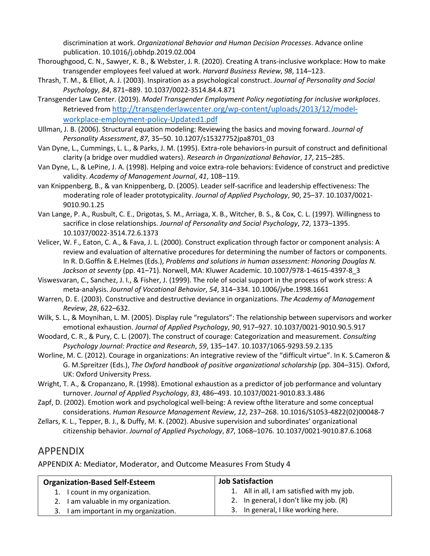discrimination at work. *Organizational Behavior and Human Decision Processes*. Advance online publication. 10.1016/j.obhdp.2019.02.004

- Thoroughgood, C. N., Sawyer, K. B., & Webster, J. R. (2020). Creating A trans-inclusive workplace: How to make transgender employees feel valued at work. *Harvard Business Review*, *98*, 114–123.
- Thrash, T. M., & Elliot, A. J. (2003). Inspiration as a psychological construct. *Journal of Personality and Social Psychology*, *84*, 871–889. 10.1037/0022-3514.84.4.871
- Transgender Law Center. (2019). *Model Transgender Employment Policy negotiating for inclusive workplaces*. Retrieved from [http://transgenderlawcenter.org/wp-content/uploads/2013/12/model](http://transgenderlawcenter.org/wp-content/uploads/2013/12/model-workplace-employment-policy-Updated1.pdf)[workplace-employment-policy-Updated1.pdf](http://transgenderlawcenter.org/wp-content/uploads/2013/12/model-workplace-employment-policy-Updated1.pdf)
- Ullman, J. B. (2006). Structural equation modeling: Reviewing the basics and moving forward. *Journal of Personality Assessment*, *87*, 35–50. 10.1207/s15327752jpa8701\_03
- Van Dyne, L., Cummings, L. L., & Parks, J. M. (1995). Extra-role behaviors-in pursuit of construct and definitional clarity (a bridge over muddied waters). *Research in Organizational Behavior*, *17*, 215–285.
- Van Dyne, L., & LePine, J. A. (1998). Helping and voice extra-role behaviors: Evidence of construct and predictive validity. *Academy of Management Journal*, *41*, 108–119.
- van Knippenberg, B., & van Knippenberg, D. (2005). Leader self-sacrifice and leadership effectiveness: The moderating role of leader prototypicality. *Journal of Applied Psychology*, *90*, 25–37. 10.1037/0021- 9010.90.1.25
- Van Lange, P. A., Rusbult, C. E., Drigotas, S. M., Arriaga, X. B., Witcher, B. S., & Cox, C. L. (1997). Willingness to sacrifice in close relationships. *Journal of Personality and Social Psychology*, *72*, 1373–1395. 10.1037/0022-3514.72.6.1373
- Velicer, W. F., Eaton, C. A., & Fava, J. L. (2000). Construct explication through factor or component analysis: A review and evaluation of alternative procedures for determining the number of factors or components. In R. D.Goffin & E.Helmes (Eds.), *Problems and solutions in human assessment: Honoring Douglas N. Jackson at seventy* (pp. 41–71). Norwell, MA: Kluwer Academic. 10.1007/978-1-4615-4397-8\_3
- Viswesvaran, C., Sanchez, J. I., & Fisher, J. (1999). The role of social support in the process of work stress: A meta-analysis. *Journal of Vocational Behavior*, *54*, 314–334. 10.1006/jvbe.1998.1661
- Warren, D. E. (2003). Constructive and destructive deviance in organizations. *The Academy of Management Review*, *28*, 622–632.
- Wilk, S. L., & Moynihan, L. M. (2005). Display rule "regulators": The relationship between supervisors and worker emotional exhaustion. *Journal of Applied Psychology*, *90*, 917–927. 10.1037/0021-9010.90.5.917
- Woodard, C. R., & Pury, C. L. (2007). The construct of courage: Categorization and measurement. *Consulting Psychology Journal: Practice and Research*, *59*, 135–147. 10.1037/1065-9293.59.2.135
- Worline, M. C. (2012). Courage in organizations: An integrative review of the "difficult virtue". In K. S.Cameron & G. M.Spreitzer (Eds.), *The Oxford handbook of positive organizational scholarship* (pp. 304–315). Oxford, UK: Oxford University Press.
- Wright, T. A., & Cropanzano, R. (1998). Emotional exhaustion as a predictor of job performance and voluntary turnover. *Journal of Applied Psychology*, *83*, 486–493. 10.1037/0021-9010.83.3.486
- Zapf, D. (2002). Emotion work and psychological well-being: A review ofthe literature and some conceptual considerations. *Human Resource Management Review*, *12*, 237–268. 10.1016/S1053-4822(02)00048-7
- Zellars, K. L., Tepper, B. J., & Duffy, M. K. (2002). Abusive supervision and subordinates' organizational citizenship behavior. *Journal of Applied Psychology*, *87*, 1068–1076. 10.1037/0021-9010.87.6.1068

# [APPENDIX](https://0-web-b-ebscohost-com.libus.csd.mu.edu/ehost/detail/detail?vid=4&sid=1fdb1c42-249a-49f8-ab7b-30f2f428e538%40sessionmgr101&bdata=JnNpdGU9ZWhvc3QtbGl2ZSZzY29wZT1zaXRl#toc)

APPENDIX A: Mediator, Moderator, and Outcome Measures From Study 4

| <b>Organization-Based Self-Esteem</b> | <b>Job Satisfaction</b>                    |
|---------------------------------------|--------------------------------------------|
| 1. I count in my organization.        | 1. All in all, I am satisfied with my job. |
| 2. I am valuable in my organization.  | 2. In general, I don't like my job. (R)    |
| 3. I am important in my organization. | 3. In general, I like working here.        |